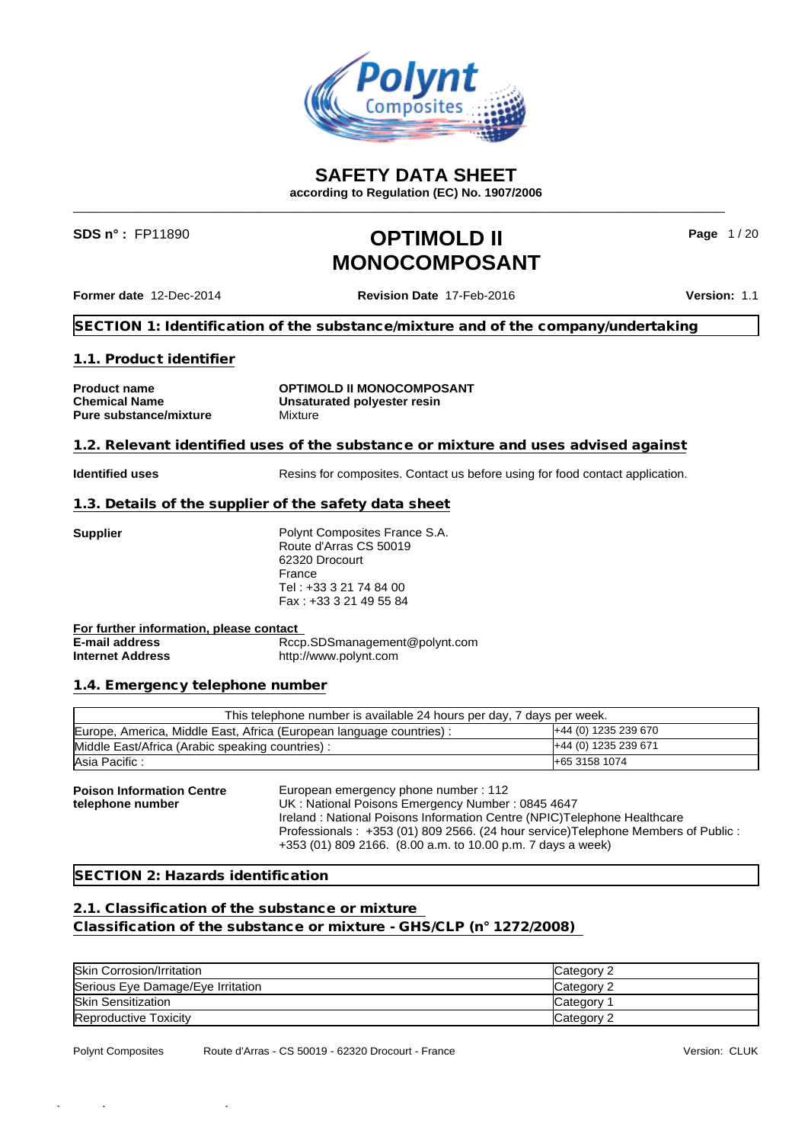

**SAFETY DATA SHEET**

**according to Regulation (EC) No. 1907/2006** \_\_\_\_\_\_\_\_\_\_\_\_\_\_\_\_\_\_\_\_\_\_\_\_\_\_\_\_\_\_\_\_\_\_\_\_\_\_\_\_\_\_\_\_\_\_\_\_\_\_\_\_\_\_\_\_\_\_\_\_\_\_\_\_\_\_\_\_\_\_\_\_\_\_\_\_\_\_\_\_\_\_\_\_\_\_\_\_\_\_\_\_\_\_\_\_

## **SDS n° :** FP11890 **OPTIMOLD II MONOCOMPOSANT**

**Page** 1 / 20

**Former date** 12-Dec-2014 **Revision Date** 17-Feb-2016 **Version:** 1.1

**SECTION 1: Identification of the substance/mixture and of the company/undertaking**

#### **1.1. Product identifier**

**Pure substance/mixture** Mixture

**Product name OPTIMOLD II MONOCOMPOSANT Chemical Name Unsaturated polyester resin**

#### **1.2. Relevant identified uses of the substance or mixture and uses advised against**

**Identified uses** Resins for composites. Contact us before using for food contact application.

#### **1.3. Details of the supplier of the safety data sheet**

**Supplier** Polynt Composites France S.A. Route d'Arras CS 50019 62320 Drocourt France Tel : +33 3 21 74 84 00 Fax : +33 3 21 49 55 84

**For further information, please contact E-mail address** Rccp.SDSmanagement@polynt.com **Internet Address** http://www.polynt.com

#### **1.4. Emergency telephone number**

| This telephone number is available 24 hours per day, 7 days per week. |                              |  |  |  |
|-----------------------------------------------------------------------|------------------------------|--|--|--|
| Europe, America, Middle East, Africa (European language countries) :  | <b>I+44 (0) 1235 239 670</b> |  |  |  |
| Middle East/Africa (Arabic speaking countries):                       | +44 (0) 1235 239 671         |  |  |  |
| Asia Pacific:                                                         | <b>H</b> -65 3158 1074       |  |  |  |

**Poison Information Centre telephone number** European emergency phone number : 112 UK : National Poisons Emergency Number : 0845 4647 Ireland : National Poisons Information Centre (NPIC)Telephone Healthcare Professionals : +353 (01) 809 2566. (24 hour service)Telephone Members of Public : +353 (01) 809 2166. (8.00 a.m. to 10.00 p.m. 7 days a week)

#### **SECTION 2: Hazards identification**

#### **2.1. Classification of the substance or mixture**

**Classification of the substance or mixture - GHS/CLP (n° 1272/2008)**

| <b>Skin Corrosion/Irritation</b>  | Category 2 |
|-----------------------------------|------------|
| Serious Eye Damage/Eye Irritation | Category 2 |
| <b>Skin Sensitization</b>         | Category   |
| <b>Reproductive Toxicity</b>      | Category 2 |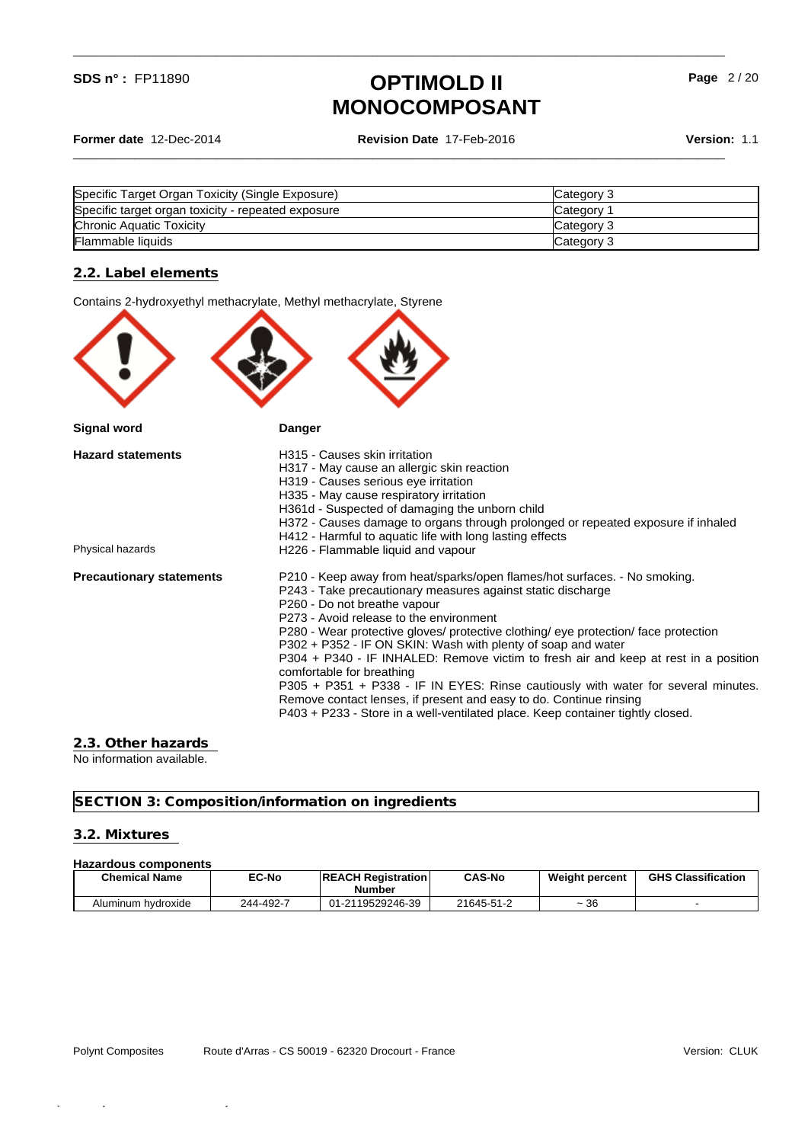**Former date** 12-Dec-2014 **Revision Date** 17-Feb-2016 **Version:** 1.1

\_\_\_\_\_\_\_\_\_\_\_\_\_\_\_\_\_\_\_\_\_\_\_\_\_\_\_\_\_\_\_\_\_\_\_\_\_\_\_\_\_\_\_\_\_\_\_\_\_\_\_\_\_\_\_\_\_\_\_\_\_\_\_\_\_\_\_\_\_\_\_\_\_\_\_\_\_\_\_\_\_\_\_\_\_\_\_\_\_\_\_\_\_\_\_\_

\_\_\_\_\_\_\_\_\_\_\_\_\_\_\_\_\_\_\_\_\_\_\_\_\_\_\_\_\_\_\_\_\_\_\_\_\_\_\_\_\_\_\_\_\_\_\_\_\_\_\_\_\_\_\_\_\_\_\_\_\_\_\_\_\_\_\_\_\_\_\_\_\_\_\_\_\_\_\_\_\_\_\_\_\_\_\_\_\_\_\_\_\_\_\_\_

| Specific Target Organ Toxicity (Single Exposure)   | Category 3      |
|----------------------------------------------------|-----------------|
| Specific target organ toxicity - repeated exposure | <b>Category</b> |
| Chronic Aquatic Toxicity                           | Category 3      |
| Flammable liquids                                  | Category 3      |

#### **2.2. Label elements**

|                                 | Contains 2-hydroxyethyl methacrylate, Methyl methacrylate, Styrene                                                                                                                                                                                                                                                                                                                                                                                                                                                                                                                                                                                                                                                                          |
|---------------------------------|---------------------------------------------------------------------------------------------------------------------------------------------------------------------------------------------------------------------------------------------------------------------------------------------------------------------------------------------------------------------------------------------------------------------------------------------------------------------------------------------------------------------------------------------------------------------------------------------------------------------------------------------------------------------------------------------------------------------------------------------|
|                                 |                                                                                                                                                                                                                                                                                                                                                                                                                                                                                                                                                                                                                                                                                                                                             |
| <b>Signal word</b>              | Danger                                                                                                                                                                                                                                                                                                                                                                                                                                                                                                                                                                                                                                                                                                                                      |
| <b>Hazard statements</b>        | H315 - Causes skin irritation<br>H317 - May cause an allergic skin reaction<br>H319 - Causes serious eye irritation<br>H335 - May cause respiratory irritation<br>H361d - Suspected of damaging the unborn child<br>H372 - Causes damage to organs through prolonged or repeated exposure if inhaled<br>H412 - Harmful to aquatic life with long lasting effects                                                                                                                                                                                                                                                                                                                                                                            |
| Physical hazards                | H226 - Flammable liquid and vapour                                                                                                                                                                                                                                                                                                                                                                                                                                                                                                                                                                                                                                                                                                          |
| <b>Precautionary statements</b> | P210 - Keep away from heat/sparks/open flames/hot surfaces. - No smoking.<br>P243 - Take precautionary measures against static discharge<br>P260 - Do not breathe vapour<br>P273 - Avoid release to the environment<br>P280 - Wear protective gloves/ protective clothing/ eye protection/ face protection<br>P302 + P352 - IF ON SKIN: Wash with plenty of soap and water<br>P304 + P340 - IF INHALED: Remove victim to fresh air and keep at rest in a position<br>comfortable for breathing<br>P305 + P351 + P338 - IF IN EYES: Rinse cautiously with water for several minutes.<br>Remove contact lenses, if present and easy to do. Continue rinsing<br>P403 + P233 - Store in a well-ventilated place. Keep container tightly closed. |
|                                 |                                                                                                                                                                                                                                                                                                                                                                                                                                                                                                                                                                                                                                                                                                                                             |

#### **2.3. Other hazards**

No information available.

**SECTION 3: Composition/information on ingredients**

### **3.2. Mixtures**

#### **Hazardous components**

| <b>Chemical Name</b> | <b>EC-No</b> | <b>IREACH Registration</b><br>Number   | <b>CAS-No</b> | <b>Weight percent</b>   | <b>GHS Classification</b> |
|----------------------|--------------|----------------------------------------|---------------|-------------------------|---------------------------|
| Aluminum hydroxide   | 244-492-7    | -2119529246-39<br>$\mathbf{A}$<br>U1-Z | 21645-51-2    | $\sim$<br>$\sim$<br>ືວບ |                           |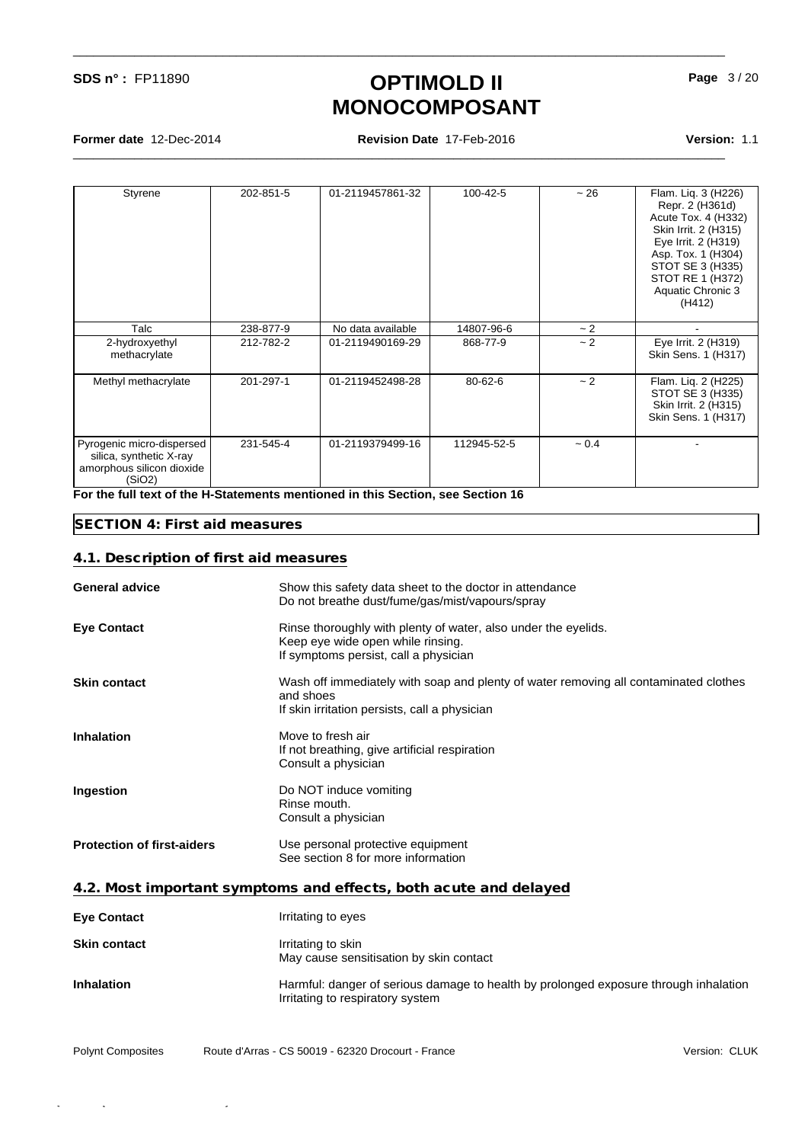**Former date** 12-Dec-2014 **Revision Date** 17-Feb-2016 **Version:** 1.1

\_\_\_\_\_\_\_\_\_\_\_\_\_\_\_\_\_\_\_\_\_\_\_\_\_\_\_\_\_\_\_\_\_\_\_\_\_\_\_\_\_\_\_\_\_\_\_\_\_\_\_\_\_\_\_\_\_\_\_\_\_\_\_\_\_\_\_\_\_\_\_\_\_\_\_\_\_\_\_\_\_\_\_\_\_\_\_\_\_\_\_\_\_\_\_\_

\_\_\_\_\_\_\_\_\_\_\_\_\_\_\_\_\_\_\_\_\_\_\_\_\_\_\_\_\_\_\_\_\_\_\_\_\_\_\_\_\_\_\_\_\_\_\_\_\_\_\_\_\_\_\_\_\_\_\_\_\_\_\_\_\_\_\_\_\_\_\_\_\_\_\_\_\_\_\_\_\_\_\_\_\_\_\_\_\_\_\_\_\_\_\_\_

| Styrene                                                                                     | 202-851-5 | 01-2119457861-32  | 100-42-5    | ~26      | Flam. Liq. 3 (H226)<br>Repr. 2 (H361d)<br>Acute Tox. 4 (H332)<br>Skin Irrit. 2 (H315)<br>Eye Irrit. 2 (H319)<br>Asp. Tox. 1 (H304)<br>STOT SE 3 (H335)<br>STOT RE 1 (H372)<br>Aquatic Chronic 3<br>(H412) |
|---------------------------------------------------------------------------------------------|-----------|-------------------|-------------|----------|-----------------------------------------------------------------------------------------------------------------------------------------------------------------------------------------------------------|
| Talc                                                                                        | 238-877-9 | No data available | 14807-96-6  | ~2~      | $\blacksquare$                                                                                                                                                                                            |
| 2-hydroxyethyl<br>methacrylate                                                              | 212-782-2 | 01-2119490169-29  | 868-77-9    | ~2~      | Eye Irrit. 2 (H319)<br>Skin Sens. 1 (H317)                                                                                                                                                                |
| Methyl methacrylate                                                                         | 201-297-1 | 01-2119452498-28  | 80-62-6     | ~2~      | Flam. Liq. 2 (H225)<br>STOT SE 3 (H335)<br>Skin Irrit. 2 (H315)<br>Skin Sens. 1 (H317)                                                                                                                    |
| Pyrogenic micro-dispersed<br>silica, synthetic X-ray<br>amorphous silicon dioxide<br>(SiO2) | 231-545-4 | 01-2119379499-16  | 112945-52-5 | $~1$ 0.4 |                                                                                                                                                                                                           |

**For the full text of the H-Statements mentioned in this Section, see Section 16**

#### **SECTION 4: First aid measures**

#### **4.1. Description of first aid measures**

| <b>General advice</b>             | Show this safety data sheet to the doctor in attendance<br>Do not breathe dust/fume/gas/mist/vapours/spray                                         |
|-----------------------------------|----------------------------------------------------------------------------------------------------------------------------------------------------|
| <b>Eye Contact</b>                | Rinse thoroughly with plenty of water, also under the eyelids.<br>Keep eye wide open while rinsing.<br>If symptoms persist, call a physician       |
| <b>Skin contact</b>               | Wash off immediately with soap and plenty of water removing all contaminated clothes<br>and shoes<br>If skin irritation persists, call a physician |
| <b>Inhalation</b>                 | Move to fresh air<br>If not breathing, give artificial respiration<br>Consult a physician                                                          |
| Ingestion                         | Do NOT induce vomiting<br>Rinse mouth.<br>Consult a physician                                                                                      |
| <b>Protection of first-aiders</b> | Use personal protective equipment<br>See section 8 for more information                                                                            |
|                                   | 4.2. Most important symptoms and effects, both acute and delayed                                                                                   |

| <b>Eye Contact</b>  | Irritating to eyes                                                                                                       |
|---------------------|--------------------------------------------------------------------------------------------------------------------------|
| <b>Skin contact</b> | Irritating to skin<br>May cause sensitisation by skin contact                                                            |
| <b>Inhalation</b>   | Harmful: danger of serious damage to health by prolonged exposure through inhalation<br>Irritating to respiratory system |

Polynt Composites Route d'Arras - CS 50019 - 62320 Drocourt - France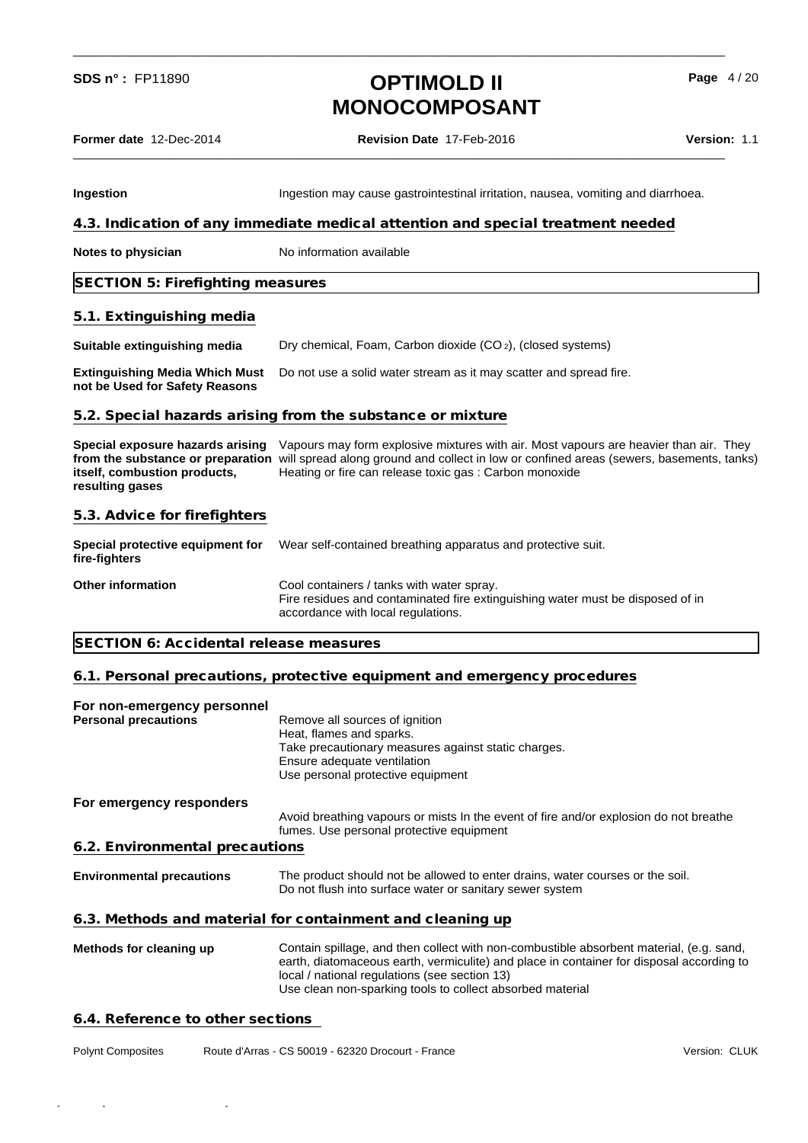\_\_\_\_\_\_\_\_\_\_\_\_\_\_\_\_\_\_\_\_\_\_\_\_\_\_\_\_\_\_\_\_\_\_\_\_\_\_\_\_\_\_\_\_\_\_\_\_\_\_\_\_\_\_\_\_\_\_\_\_\_\_\_\_\_\_\_\_\_\_\_\_\_\_\_\_\_\_\_\_\_\_\_\_\_\_\_\_\_\_\_\_\_\_\_\_

**Page** 4 / 20

**Former date** 12-Dec-2014 **Revision Date** 17-Feb-2016 **Version:** 1.1

| Ingestion                                                               | Ingestion may cause gastrointestinal irritation, nausea, vomiting and diarrhoea.                                                                                                                                                                                                                               |               |
|-------------------------------------------------------------------------|----------------------------------------------------------------------------------------------------------------------------------------------------------------------------------------------------------------------------------------------------------------------------------------------------------------|---------------|
|                                                                         | 4.3. Indication of any immediate medical attention and special treatment needed                                                                                                                                                                                                                                |               |
| <b>Notes to physician</b>                                               | No information available                                                                                                                                                                                                                                                                                       |               |
| SECTION 5: Firefighting measures                                        |                                                                                                                                                                                                                                                                                                                |               |
| 5.1. Extinguishing media                                                |                                                                                                                                                                                                                                                                                                                |               |
| Suitable extinguishing media                                            | Dry chemical, Foam, Carbon dioxide (CO <sub>2</sub> ), (closed systems)                                                                                                                                                                                                                                        |               |
| <b>Extinguishing Media Which Must</b><br>not be Used for Safety Reasons | Do not use a solid water stream as it may scatter and spread fire.                                                                                                                                                                                                                                             |               |
|                                                                         | 5.2. Special hazards arising from the substance or mixture                                                                                                                                                                                                                                                     |               |
| itself, combustion products,<br>resulting gases                         | Special exposure hazards arising Vapours may form explosive mixtures with air. Most vapours are heavier than air. They<br>from the substance or preparation will spread along ground and collect in low or confined areas (sewers, basements, tanks)<br>Heating or fire can release toxic gas: Carbon monoxide |               |
| 5.3. Advice for firefighters                                            |                                                                                                                                                                                                                                                                                                                |               |
| <b>Special protective equipment for</b><br>fire-fighters                | Wear self-contained breathing apparatus and protective suit.                                                                                                                                                                                                                                                   |               |
| <b>Other information</b>                                                | Cool containers / tanks with water spray.<br>Fire residues and contaminated fire extinguishing water must be disposed of in<br>accordance with local regulations.                                                                                                                                              |               |
| SECTION 6: Accidental release measures                                  |                                                                                                                                                                                                                                                                                                                |               |
|                                                                         | 6.1. Personal precautions, protective equipment and emergency procedures                                                                                                                                                                                                                                       |               |
| For non-emergency personnel<br><b>Personal precautions</b>              | Remove all sources of ignition<br>Heat, flames and sparks.<br>Take precautionary measures against static charges.<br>Ensure adequate ventilation<br>Use personal protective equipment                                                                                                                          |               |
| For emergency responders                                                | Avoid breathing vapours or mists In the event of fire and/or explosion do not breathe<br>fumes. Use personal protective equipment                                                                                                                                                                              |               |
| 6.2. Environmental precautions                                          |                                                                                                                                                                                                                                                                                                                |               |
| <b>Environmental precautions</b>                                        | The product should not be allowed to enter drains, water courses or the soil.<br>Do not flush into surface water or sanitary sewer system                                                                                                                                                                      |               |
|                                                                         | 6.3. Methods and material for containment and cleaning up                                                                                                                                                                                                                                                      |               |
| Methods for cleaning up                                                 | Contain spillage, and then collect with non-combustible absorbent material, (e.g. sand,<br>earth, diatomaceous earth, vermiculite) and place in container for disposal according to<br>local / national regulations (see section 13)<br>Use clean non-sparking tools to collect absorbed material              |               |
| 6.4. Reference to other sections                                        |                                                                                                                                                                                                                                                                                                                |               |
| <b>Polynt Composites</b>                                                | Route d'Arras - CS 50019 - 62320 Drocourt - France                                                                                                                                                                                                                                                             | Version: CLUK |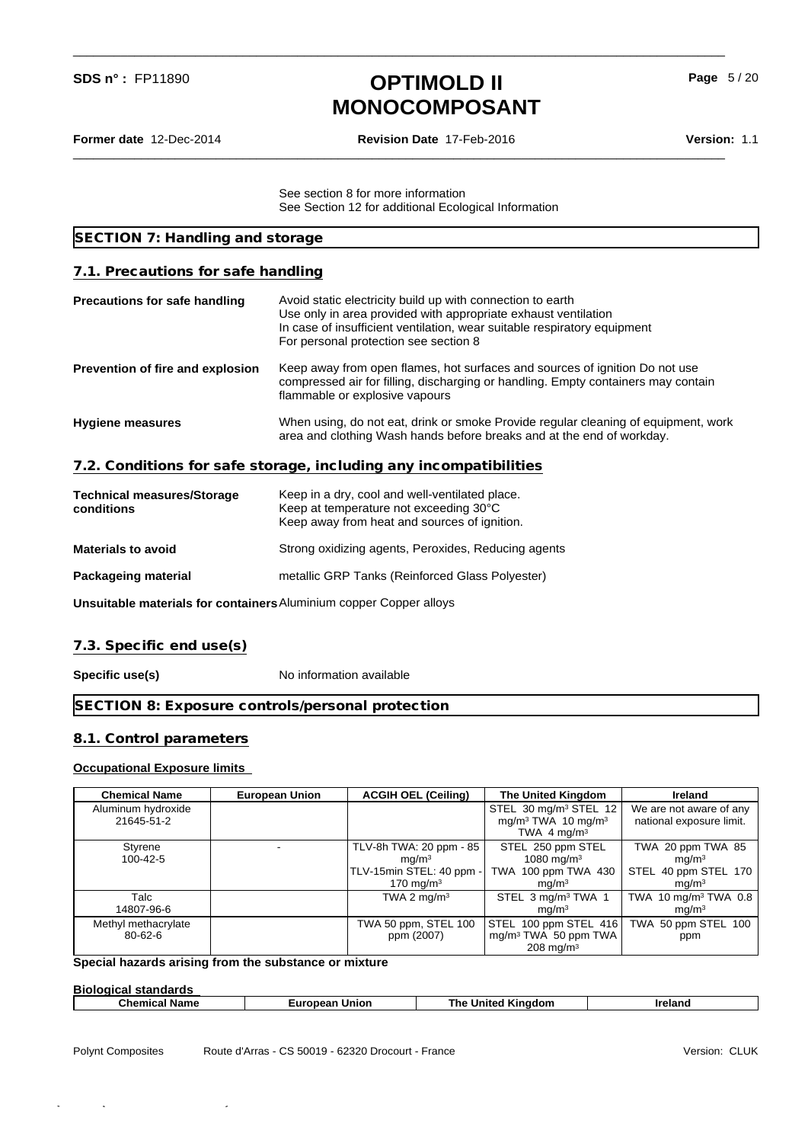\_\_\_\_\_\_\_\_\_\_\_\_\_\_\_\_\_\_\_\_\_\_\_\_\_\_\_\_\_\_\_\_\_\_\_\_\_\_\_\_\_\_\_\_\_\_\_\_\_\_\_\_\_\_\_\_\_\_\_\_\_\_\_\_\_\_\_\_\_\_\_\_\_\_\_\_\_\_\_\_\_\_\_\_\_\_\_\_\_\_\_\_\_\_\_\_

\_\_\_\_\_\_\_\_\_\_\_\_\_\_\_\_\_\_\_\_\_\_\_\_\_\_\_\_\_\_\_\_\_\_\_\_\_\_\_\_\_\_\_\_\_\_\_\_\_\_\_\_\_\_\_\_\_\_\_\_\_\_\_\_\_\_\_\_\_\_\_\_\_\_\_\_\_\_\_\_\_\_\_\_\_\_\_\_\_\_\_\_\_\_\_\_

**Former date** 12-Dec-2014 **Revision Date** 17-Feb-2016 **Version:** 1.1

**Page** 5 / 20

See section 8 for more information See Section 12 for additional Ecological Information

| SECTION 7: Handling and storage                 |                                                                                                                                                                                                                                                   |
|-------------------------------------------------|---------------------------------------------------------------------------------------------------------------------------------------------------------------------------------------------------------------------------------------------------|
| 7.1. Precautions for safe handling              |                                                                                                                                                                                                                                                   |
| <b>Precautions for safe handling</b>            | Avoid static electricity build up with connection to earth<br>Use only in area provided with appropriate exhaust ventilation<br>In case of insufficient ventilation, wear suitable respiratory equipment<br>For personal protection see section 8 |
| Prevention of fire and explosion                | Keep away from open flames, hot surfaces and sources of ignition Do not use<br>compressed air for filling, discharging or handling. Empty containers may contain<br>flammable or explosive vapours                                                |
| <b>Hygiene measures</b>                         | When using, do not eat, drink or smoke Provide regular cleaning of equipment, work<br>area and clothing Wash hands before breaks and at the end of workday.                                                                                       |
|                                                 | 7.2. Conditions for safe storage, including any incompatibilities                                                                                                                                                                                 |
| <b>Technical measures/Storage</b><br>conditions | Keep in a dry, cool and well-ventilated place.<br>Keep at temperature not exceeding 30°C<br>Keep away from heat and sources of ignition.                                                                                                          |
| <b>Materials to avoid</b>                       | Strong oxidizing agents, Peroxides, Reducing agents                                                                                                                                                                                               |
|                                                 |                                                                                                                                                                                                                                                   |

**Packageing material** metallic GRP Tanks (Reinforced Glass Polyester)

**Unsuitable materials for containers**Aluminium copper Copper alloys

#### **7.3. Specific end use(s)**

**Specific use(s)** No information available

**SECTION 8: Exposure controls/personal protection**

#### **8.1. Control parameters**

#### **Occupational Exposure limits**

| <b>Chemical Name</b>             | <b>European Union</b> | <b>ACGIH OEL (Ceiling)</b>                                                               | The United Kingdom                                                                                         | Ireland                                                                             |
|----------------------------------|-----------------------|------------------------------------------------------------------------------------------|------------------------------------------------------------------------------------------------------------|-------------------------------------------------------------------------------------|
| Aluminum hydroxide<br>21645-51-2 |                       |                                                                                          | STEL 30 mg/m <sup>3</sup> STEL 12<br>mg/m <sup>3</sup> TWA 10 mg/m <sup>3</sup><br>TWA 4 mg/m <sup>3</sup> | We are not aware of any<br>national exposure limit.                                 |
| Styrene<br>100-42-5              |                       | TLV-8h TWA: 20 ppm - 85<br>mq/m <sup>3</sup><br>TLV-15min STEL: 40 ppm -<br>170 mg/m $3$ | STEL 250 ppm STEL<br>1080 mg/m $3$<br>TWA 100 ppm TWA 430<br>mq/m <sup>3</sup>                             | TWA 20 ppm TWA 85<br>mq/m <sup>3</sup><br>STEL 40 ppm STEL 170<br>mq/m <sup>3</sup> |
| Talc<br>14807-96-6               |                       | TWA 2 mg/m <sup>3</sup>                                                                  | STEL 3 mg/m <sup>3</sup> TWA 1<br>mq/m <sup>3</sup>                                                        | TWA 10 mg/m <sup>3</sup> TWA 0.8<br>mq/m <sup>3</sup>                               |
| Methyl methacrylate<br>80-62-6   |                       | TWA 50 ppm, STEL 100<br>ppm (2007)                                                       | STEL 100 ppm STEL 416<br>mg/m <sup>3</sup> TWA 50 ppm TWA<br>$208 \,\mathrm{mq/m^3}$                       | TWA 50 ppm STEL 100<br>ppm                                                          |

### **Special hazards arising from the substance or mixture**

| <b>Biological standards</b> |                          |                              |                |  |  |
|-----------------------------|--------------------------|------------------------------|----------------|--|--|
| <b>Chemical Name</b>        | <b>Union</b><br>European | <b>United Kinadom</b><br>⊺he | <b>Ireland</b> |  |  |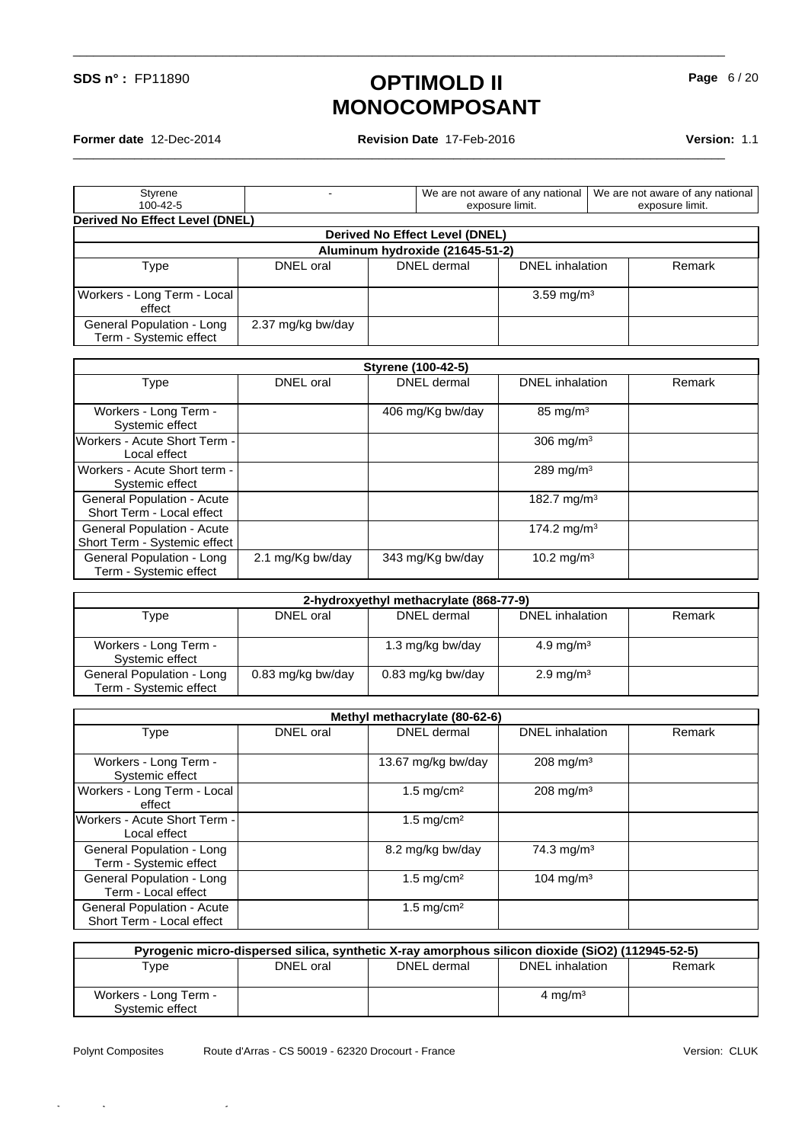\_\_\_\_\_\_\_\_\_\_\_\_\_\_\_\_\_\_\_\_\_\_\_\_\_\_\_\_\_\_\_\_\_\_\_\_\_\_\_\_\_\_\_\_\_\_\_\_\_\_\_\_\_\_\_\_\_\_\_\_\_\_\_\_\_\_\_\_\_\_\_\_\_\_\_\_\_\_\_\_\_\_\_\_\_\_\_\_\_\_\_\_\_\_\_\_

**Former date** 12-Dec-2014 **Revision Date** 17-Feb-2016 **Version:** 1.1

**Page** 6 / 20

| Styrene                                             |                   |                                 | We are not aware of any national | We are not aware of any national |
|-----------------------------------------------------|-------------------|---------------------------------|----------------------------------|----------------------------------|
| $100 - 42 - 5$                                      |                   |                                 | exposure limit.                  | exposure limit.                  |
| Derived No Effect Level (DNEL)                      |                   |                                 |                                  |                                  |
|                                                     |                   | Derived No Effect Level (DNEL)  |                                  |                                  |
|                                                     |                   | Aluminum hydroxide (21645-51-2) |                                  |                                  |
| Type                                                | DNEL oral         | DNEL dermal                     | <b>DNEL</b> inhalation           | Remark                           |
| Workers - Long Term - Local<br>effect               |                   |                                 | $3.59 \,\mathrm{mq/m^3}$         |                                  |
| General Population - Long<br>Term - Systemic effect | 2.37 mg/kg bw/day |                                 |                                  |                                  |

| Styrene (100-42-5)                                         |                  |                  |                         |        |
|------------------------------------------------------------|------------------|------------------|-------------------------|--------|
| Type                                                       | DNEL oral        | DNEL dermal      | DNEL inhalation         | Remark |
| Workers - Long Term -<br>Systemic effect                   |                  | 406 mg/Kg bw/day | $85 \text{ mg/m}^3$     |        |
| Workers - Acute Short Term -<br>Local effect               |                  |                  | 306 mg/m <sup>3</sup>   |        |
| Workers - Acute Short term -<br>Systemic effect            |                  |                  | 289 mg/m $3$            |        |
| General Population - Acute<br>Short Term - Local effect    |                  |                  | 182.7 mg/m <sup>3</sup> |        |
| General Population - Acute<br>Short Term - Systemic effect |                  |                  | 174.2 mg/m <sup>3</sup> |        |
| General Population - Long<br>Term - Systemic effect        | 2.1 mg/Kg bw/day | 343 mg/Kg bw/day | 10.2 mg/m <sup>3</sup>  |        |

| 2-hydroxyethyl methacrylate (868-77-9)              |                   |                   |                         |        |
|-----------------------------------------------------|-------------------|-------------------|-------------------------|--------|
| Type                                                | DNEL oral         | DNEL dermal       | DNEL inhalation         | Remark |
| Workers - Long Term -<br>Systemic effect            |                   | 1.3 mg/kg bw/day  | $4.9 \,\mathrm{mg/m^3}$ |        |
| General Population - Long<br>Term - Systemic effect | 0.83 mg/kg bw/day | 0.83 mg/kg bw/day | $2.9 \,\mathrm{mg/m^3}$ |        |

|                                                         |           | Methyl methacrylate (80-62-6) |                         |        |
|---------------------------------------------------------|-----------|-------------------------------|-------------------------|--------|
| Type                                                    | DNEL oral | DNEL dermal                   | <b>DNEL</b> inhalation  | Remark |
| Workers - Long Term -<br>Systemic effect                |           | 13.67 mg/kg bw/day            | $208 \,\mathrm{mq/m^3}$ |        |
| Workers - Long Term - Local<br>effect                   |           | $1.5 \text{ mg/cm}^2$         | $208$ mg/m <sup>3</sup> |        |
| <b>Workers - Acute Short Term -</b><br>Local effect     |           | 1.5 mg/cm <sup>2</sup>        |                         |        |
| General Population - Long<br>Term - Systemic effect     |           | 8.2 mg/kg bw/day              | 74.3 mg/m <sup>3</sup>  |        |
| General Population - Long<br>Term - Local effect        |           | 1.5 mg/cm <sup>2</sup>        | $104 \text{ mg/m}^3$    |        |
| General Population - Acute<br>Short Term - Local effect |           | $1.5 \text{ mg/cm}^2$         |                         |        |

| Pyrogenic micro-dispersed silica, synthetic X-ray amorphous silicon dioxide (SiO2) (112945-52-5) |           |             |                     |        |
|--------------------------------------------------------------------------------------------------|-----------|-------------|---------------------|--------|
| $\tau_\mathsf{VDE}$                                                                              | DNEL oral | DNEL dermal | DNEL inhalation     | Remark |
|                                                                                                  |           |             |                     |        |
| Workers - Long Term -                                                                            |           |             | 4 mg/m <sup>3</sup> |        |
| Systemic effect                                                                                  |           |             |                     |        |

Polynt Composites

Quick-FDS [17581-12040-15584-010566] - 2016-02-18 - 03:20:40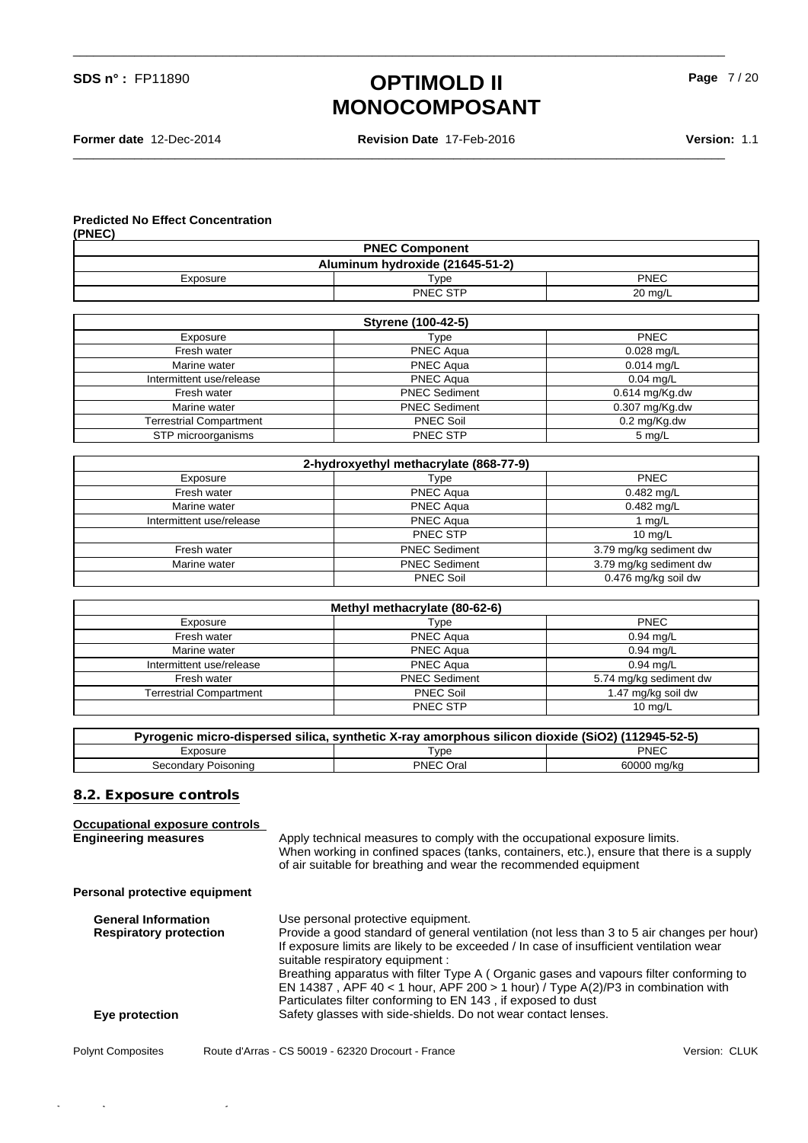**Former date** 12-Dec-2014 **Revision Date** 17-Feb-2016 **Version:** 1.1

\_\_\_\_\_\_\_\_\_\_\_\_\_\_\_\_\_\_\_\_\_\_\_\_\_\_\_\_\_\_\_\_\_\_\_\_\_\_\_\_\_\_\_\_\_\_\_\_\_\_\_\_\_\_\_\_\_\_\_\_\_\_\_\_\_\_\_\_\_\_\_\_\_\_\_\_\_\_\_\_\_\_\_\_\_\_\_\_\_\_\_\_\_\_\_\_

\_\_\_\_\_\_\_\_\_\_\_\_\_\_\_\_\_\_\_\_\_\_\_\_\_\_\_\_\_\_\_\_\_\_\_\_\_\_\_\_\_\_\_\_\_\_\_\_\_\_\_\_\_\_\_\_\_\_\_\_\_\_\_\_\_\_\_\_\_\_\_\_\_\_\_\_\_\_\_\_\_\_\_\_\_\_\_\_\_\_\_\_\_\_\_\_

**Page** 7 / 20

#### **Predicted No Effect Concentration**  $(\mathbf{P} \mathbf{P})$

| (PNEU)                                                   |          |         |  |
|----------------------------------------------------------|----------|---------|--|
| <b>PNEC Component</b><br>Aluminum hydroxide (21645-51-2) |          |         |  |
|                                                          |          |         |  |
|                                                          | PNEC STP | 20 mg/L |  |

| <b>Styrene (100-42-5)</b>      |                      |                        |  |
|--------------------------------|----------------------|------------------------|--|
| Exposure                       | Type                 | <b>PNEC</b>            |  |
| Fresh water                    | <b>PNEC Agua</b>     | $0.028$ mg/L           |  |
| Marine water                   | <b>PNEC Agua</b>     | $0.014$ mg/L           |  |
| Intermittent use/release       | <b>PNEC Agua</b>     | $0.04$ mg/L            |  |
| Fresh water                    | <b>PNEC Sediment</b> | $0.614$ mg/Kg.dw       |  |
| Marine water                   | <b>PNEC Sediment</b> | $0.307$ mg/Kg.dw       |  |
| <b>Terrestrial Compartment</b> | <b>PNEC Soil</b>     | $0.2 \text{ mg/Kg.dw}$ |  |
| STP microorganisms             | <b>PNEC STP</b>      | 5 mg/L                 |  |

|                          | 2-hydroxyethyl methacrylate (868-77-9) |                        |
|--------------------------|----------------------------------------|------------------------|
| Exposure                 | Type                                   | <b>PNEC</b>            |
| Fresh water              | <b>PNEC Agua</b>                       | $0.482$ mg/L           |
| Marine water             | <b>PNEC Aqua</b>                       | $0.482$ mg/L           |
| Intermittent use/release | <b>PNEC Aqua</b>                       | 1 $mq/L$               |
|                          | PNEC STP                               | $10 \text{ mg/L}$      |
| Fresh water              | <b>PNEC Sediment</b>                   | 3.79 mg/kg sediment dw |
| Marine water             | <b>PNEC Sediment</b>                   | 3.79 mg/kg sediment dw |
|                          | <b>PNEC Soil</b>                       | 0.476 mg/kg soil dw    |

|                                | Methyl methacrylate (80-62-6) |                        |
|--------------------------------|-------------------------------|------------------------|
| Exposure                       | Type                          | <b>PNEC</b>            |
| Fresh water                    | <b>PNEC Agua</b>              | $0.94$ mg/L            |
| Marine water                   | <b>PNEC Aqua</b>              | $0.94$ mg/L            |
| Intermittent use/release       | <b>PNEC Agua</b>              | $0.94$ mg/L            |
| Fresh water                    | <b>PNEC Sediment</b>          | 5.74 mg/kg sediment dw |
| <b>Terrestrial Compartment</b> | <b>PNEC Soil</b>              | 1.47 mg/kg soil dw     |
|                                | PNEC STP                      | $10 \text{ mg/L}$      |

| Pyrogenic micro-dispersed silica, synthetic X-ray amorphous silicon dioxide (SiO2) (112945-52-5) |                     |             |  |
|--------------------------------------------------------------------------------------------------|---------------------|-------------|--|
| :xposure                                                                                         | $\tau_\mathsf{VDE}$ | PNEC        |  |
| Secondary Poisoning                                                                              | PNEC Oral           | 60000 ma/ka |  |

#### **8.2. Exposure controls**

| <b>Occupational exposure controls</b><br><b>Engineering measures</b>          | Apply technical measures to comply with the occupational exposure limits.<br>When working in confined spaces (tanks, containers, etc.), ensure that there is a supply<br>of air suitable for breathing and wear the recommended equipment                                                                                                                                                                                                                                                                                                                                     |               |
|-------------------------------------------------------------------------------|-------------------------------------------------------------------------------------------------------------------------------------------------------------------------------------------------------------------------------------------------------------------------------------------------------------------------------------------------------------------------------------------------------------------------------------------------------------------------------------------------------------------------------------------------------------------------------|---------------|
| Personal protective equipment                                                 |                                                                                                                                                                                                                                                                                                                                                                                                                                                                                                                                                                               |               |
| <b>General Information</b><br><b>Respiratory protection</b><br>Eye protection | Use personal protective equipment.<br>Provide a good standard of general ventilation (not less than 3 to 5 air changes per hour)<br>If exposure limits are likely to be exceeded / In case of insufficient ventilation wear<br>suitable respiratory equipment :<br>Breathing apparatus with filter Type A (Organic gases and vapours filter conforming to<br>EN 14387, APF 40 < 1 hour, APF 200 > 1 hour) / Type A(2)/P3 in combination with<br>Particulates filter conforming to EN 143, if exposed to dust<br>Safety glasses with side-shields. Do not wear contact lenses. |               |
| <b>Polynt Composites</b>                                                      | Route d'Arras - CS 50019 - 62320 Drocourt - France                                                                                                                                                                                                                                                                                                                                                                                                                                                                                                                            | Version: CLUK |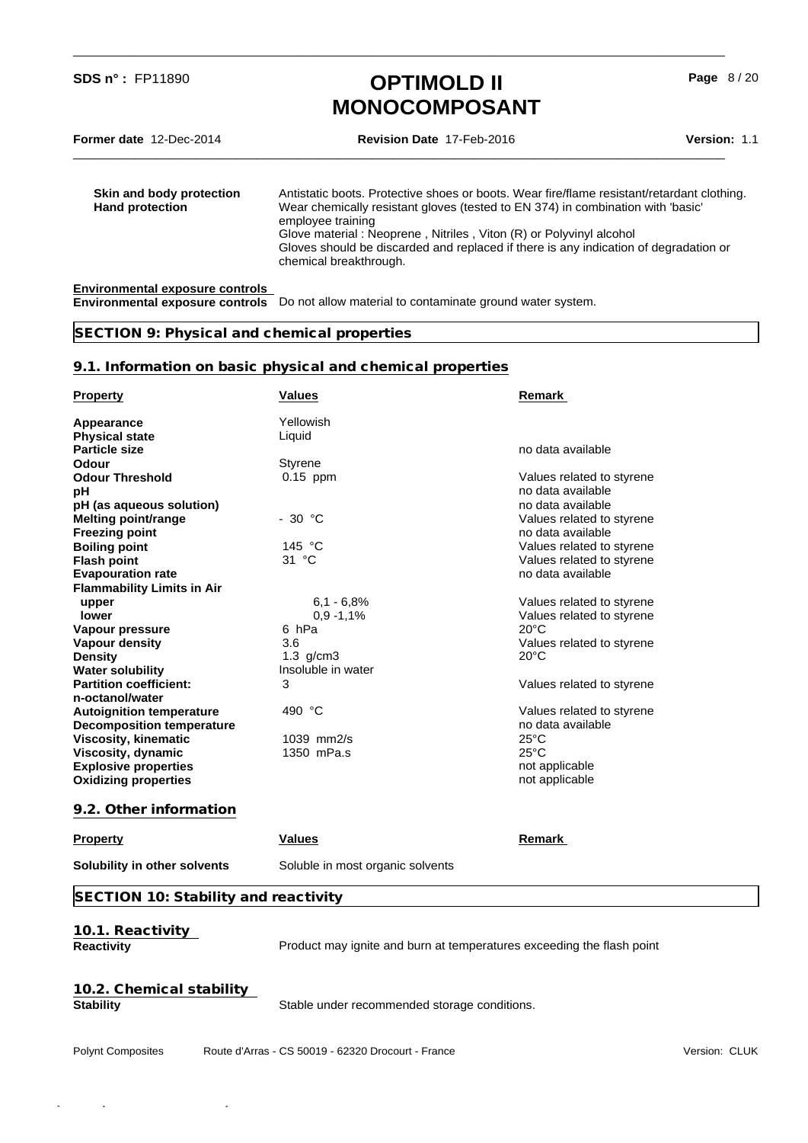\_\_\_\_\_\_\_\_\_\_\_\_\_\_\_\_\_\_\_\_\_\_\_\_\_\_\_\_\_\_\_\_\_\_\_\_\_\_\_\_\_\_\_\_\_\_\_\_\_\_\_\_\_\_\_\_\_\_\_\_\_\_\_\_\_\_\_\_\_\_\_\_\_\_\_\_\_\_\_\_\_\_\_\_\_\_\_\_\_\_\_\_\_\_\_\_

\_\_\_\_\_\_\_\_\_\_\_\_\_\_\_\_\_\_\_\_\_\_\_\_\_\_\_\_\_\_\_\_\_\_\_\_\_\_\_\_\_\_\_\_\_\_\_\_\_\_\_\_\_\_\_\_\_\_\_\_\_\_\_\_\_\_\_\_\_\_\_\_\_\_\_\_\_\_\_\_\_\_\_\_\_\_\_\_\_\_\_\_\_\_\_\_

**Page** 8 / 20

**Former date** 12-Dec-2014 **Revision Date** 17-Feb-2016 **Version:** 1.1

**Skin and body protection** Antistatic boots. Protective shoes or boots. Wear fire/flame resistant/retardant clothing.<br>**Hand protection** Wear chemically resistant gloves (tested to EN 374) in combination with 'basic' Wear chemically resistant gloves (tested to EN 374) in combination with 'basic' employee training Glove material : Neoprene , Nitriles , Viton (R) or Polyvinyl alcohol Gloves should be discarded and replaced if there is any indication of degradation or chemical breakthrough.

#### **Environmental exposure controls**

**Environmental exposure controls** Do not allow material to contaminate ground water system.

### **SECTION 9: Physical and chemical properties**

#### **9.1. Information on basic physical and chemical properties**

| <b>Property</b>                       | <b>Values</b>                                                         | Remark                    |
|---------------------------------------|-----------------------------------------------------------------------|---------------------------|
| Appearance                            | Yellowish                                                             |                           |
| <b>Physical state</b>                 | Liquid                                                                |                           |
| <b>Particle size</b>                  |                                                                       | no data available         |
| <b>Odour</b>                          | <b>Styrene</b>                                                        |                           |
| <b>Odour Threshold</b>                | $0.15$ ppm                                                            | Values related to styrene |
| рH                                    |                                                                       | no data available         |
| pH (as aqueous solution)              |                                                                       | no data available         |
| <b>Melting point/range</b>            | $-30$ °C                                                              | Values related to styrene |
| <b>Freezing point</b>                 |                                                                       | no data available         |
| <b>Boiling point</b>                  | 145 °C                                                                | Values related to styrene |
| <b>Flash point</b>                    | 31 °C                                                                 | Values related to styrene |
| <b>Evapouration rate</b>              |                                                                       | no data available         |
| <b>Flammability Limits in Air</b>     |                                                                       |                           |
| upper                                 | $6.1 - 6.8%$                                                          | Values related to styrene |
| <b>lower</b>                          | $0,9 - 1,1%$                                                          | Values related to styrene |
| Vapour pressure                       | 6 hPa                                                                 | $20^{\circ}$ C            |
| <b>Vapour density</b>                 | 3.6                                                                   | Values related to styrene |
| <b>Density</b>                        | $1.3$ g/cm $3$                                                        | $20^{\circ}$ C            |
| <b>Water solubility</b>               | Insoluble in water                                                    |                           |
| <b>Partition coefficient:</b>         | 3                                                                     | Values related to styrene |
| n-octanol/water                       |                                                                       |                           |
| <b>Autoignition temperature</b>       | 490 °C                                                                | Values related to styrene |
| <b>Decomposition temperature</b>      |                                                                       | no data available         |
| <b>Viscosity, kinematic</b>           | $1039$ mm $2/s$                                                       | $25^{\circ}$ C            |
| Viscosity, dynamic                    | 1350 mPa.s                                                            | $25^{\circ}$ C            |
| <b>Explosive properties</b>           |                                                                       | not applicable            |
| <b>Oxidizing properties</b>           |                                                                       | not applicable            |
| 9.2. Other information                |                                                                       |                           |
| <b>Property</b>                       | <b>Values</b>                                                         | Remark                    |
| Solubility in other solvents          | Soluble in most organic solvents                                      |                           |
| SECTION 10: Stability and reactivity  |                                                                       |                           |
| 10.1. Reactivity<br><b>Reactivity</b> | Product may ignite and burn at temperatures exceeding the flash point |                           |

# **10.2. Chemical stability**

**Stability** Stable under recommended storage conditions.

Polynt Composites

Route d'Arras - CS 50019 - 62320 Drocourt - France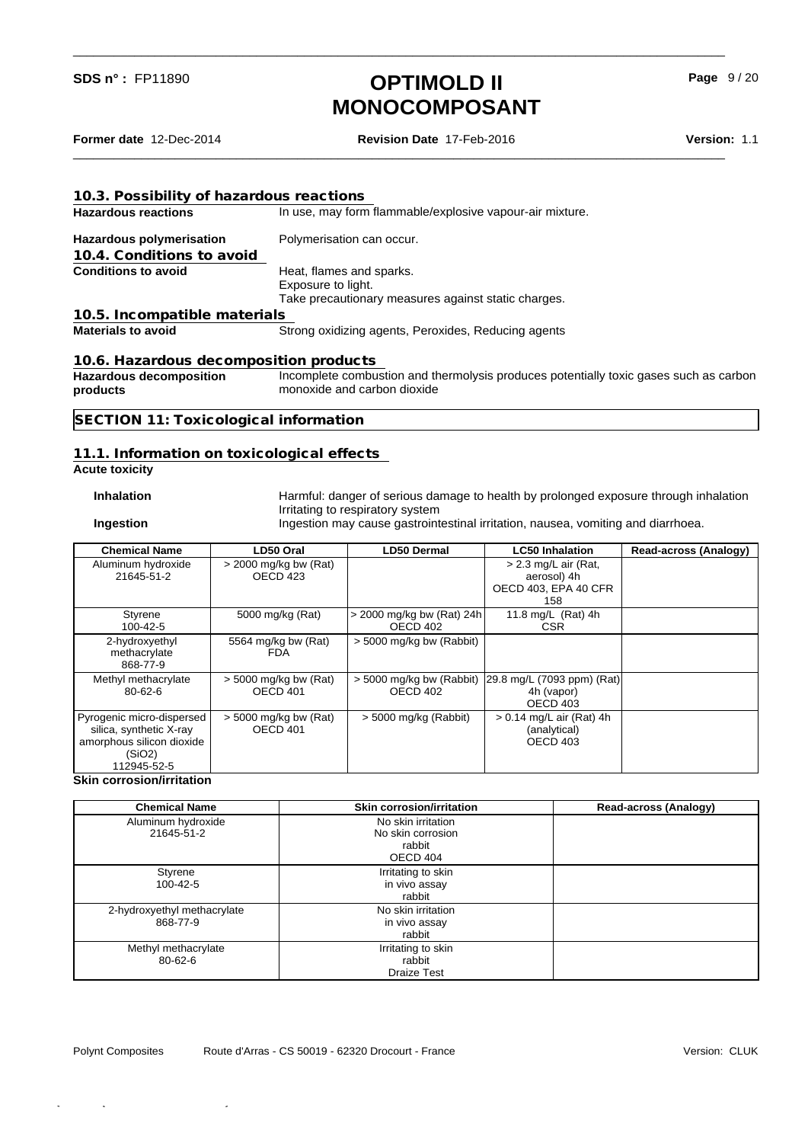**Former date** 12-Dec-2014 **Revision Date** 17-Feb-2016 **Version:** 1.1

\_\_\_\_\_\_\_\_\_\_\_\_\_\_\_\_\_\_\_\_\_\_\_\_\_\_\_\_\_\_\_\_\_\_\_\_\_\_\_\_\_\_\_\_\_\_\_\_\_\_\_\_\_\_\_\_\_\_\_\_\_\_\_\_\_\_\_\_\_\_\_\_\_\_\_\_\_\_\_\_\_\_\_\_\_\_\_\_\_\_\_\_\_\_\_\_

\_\_\_\_\_\_\_\_\_\_\_\_\_\_\_\_\_\_\_\_\_\_\_\_\_\_\_\_\_\_\_\_\_\_\_\_\_\_\_\_\_\_\_\_\_\_\_\_\_\_\_\_\_\_\_\_\_\_\_\_\_\_\_\_\_\_\_\_\_\_\_\_\_\_\_\_\_\_\_\_\_\_\_\_\_\_\_\_\_\_\_\_\_\_\_\_

**Page** 9 / 20

| 10.3. Possibility of hazardous reactions   |                                                                                                                      |
|--------------------------------------------|----------------------------------------------------------------------------------------------------------------------|
| <b>Hazardous reactions</b>                 | In use, may form flammable/explosive vapour-air mixture.                                                             |
| <b>Hazardous polymerisation</b>            | Polymerisation can occur.                                                                                            |
| 10.4. Conditions to avoid                  |                                                                                                                      |
| <b>Conditions to avoid</b>                 | Heat, flames and sparks.<br>Exposure to light.                                                                       |
|                                            | Take precautionary measures against static charges.                                                                  |
| 10.5. Incompatible materials               |                                                                                                                      |
| <b>Materials to avoid</b>                  | Strong oxidizing agents, Peroxides, Reducing agents                                                                  |
| 10.6. Hazardous decomposition products     |                                                                                                                      |
| <b>Hazardous decomposition</b><br>products | Incomplete combustion and thermolysis produces potentially toxic gases such as carbon<br>monoxide and carbon dioxide |
| SECTION 11: Toxicological information      |                                                                                                                      |
|                                            |                                                                                                                      |

### **11.1. Information on toxicological effects**

### **Acute toxicity**

**Inhalation** Harmful: danger of serious damage to health by prolonged exposure through inhalation Irritating to respiratory system

**Ingestion** Ingestion may cause gastrointestinal irritation, nausea, vomiting and diarrhoea.

| <b>Chemical Name</b>                                                                                       | LD50 Oral                           | LD50 Dermal                             | <b>LC50 Inhalation</b>                                               | <b>Read-across (Analogy)</b> |
|------------------------------------------------------------------------------------------------------------|-------------------------------------|-----------------------------------------|----------------------------------------------------------------------|------------------------------|
| Aluminum hydroxide<br>21645-51-2                                                                           | $>$ 2000 mg/kg bw (Rat)<br>OECD 423 |                                         | $> 2.3$ mg/L air (Rat,<br>aerosol) 4h<br>OECD 403, EPA 40 CFR<br>158 |                              |
| Styrene<br>100-42-5                                                                                        | 5000 mg/kg (Rat)                    | $>$ 2000 mg/kg bw (Rat) 24h<br>OECD 402 | 11.8 mg/L (Rat) 4h<br><b>CSR</b>                                     |                              |
| 2-hydroxyethyl<br>methacrylate<br>868-77-9                                                                 | 5564 mg/kg bw (Rat)<br>FDA.         | $>$ 5000 mg/kg bw (Rabbit)              |                                                                      |                              |
| Methyl methacrylate<br>$80 - 62 - 6$                                                                       | $>$ 5000 mg/kg bw (Rat)<br>OECD 401 | > 5000 mg/kg bw (Rabbit)<br>OECD 402    | [29.8 mg/L (7093 ppm) (Rat)]<br>4h (vapor)<br>OECD 403               |                              |
| Pyrogenic micro-dispersed<br>silica, synthetic X-ray<br>amorphous silicon dioxide<br>(SiO2)<br>112945-52-5 | $>$ 5000 mg/kg bw (Rat)<br>OECD 401 | $>$ 5000 mg/kg (Rabbit)                 | $> 0.14$ mg/L air (Rat) 4h<br>(analytical)<br>OECD 403               |                              |

#### **Skin corrosion/irritation**

| <b>Chemical Name</b>                    | <b>Skin corrosion/irritation</b>                              | Read-across (Analogy) |
|-----------------------------------------|---------------------------------------------------------------|-----------------------|
| Aluminum hydroxide<br>21645-51-2        | No skin irritation<br>No skin corrosion<br>rabbit<br>OECD 404 |                       |
| Styrene<br>100-42-5                     | Irritating to skin<br>in vivo assay<br>rabbit                 |                       |
| 2-hydroxyethyl methacrylate<br>868-77-9 | No skin irritation<br>in vivo assay<br>rabbit                 |                       |
| Methyl methacrylate<br>$80 - 62 - 6$    | Irritating to skin<br>rabbit<br><b>Draize Test</b>            |                       |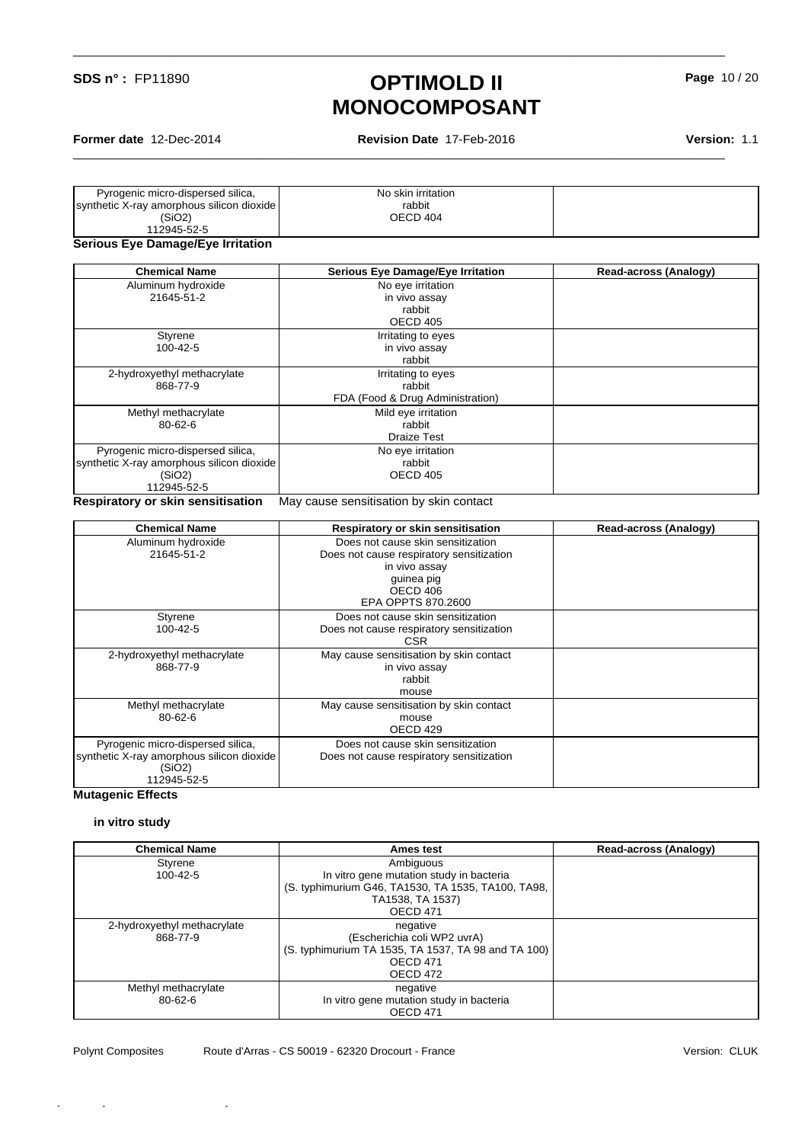**Former date** 12-Dec-2014 **Revision Date** 17-Feb-2016 **Version:** 1.1

\_\_\_\_\_\_\_\_\_\_\_\_\_\_\_\_\_\_\_\_\_\_\_\_\_\_\_\_\_\_\_\_\_\_\_\_\_\_\_\_\_\_\_\_\_\_\_\_\_\_\_\_\_\_\_\_\_\_\_\_\_\_\_\_\_\_\_\_\_\_\_\_\_\_\_\_\_\_\_\_\_\_\_\_\_\_\_\_\_\_\_\_\_\_\_\_

\_\_\_\_\_\_\_\_\_\_\_\_\_\_\_\_\_\_\_\_\_\_\_\_\_\_\_\_\_\_\_\_\_\_\_\_\_\_\_\_\_\_\_\_\_\_\_\_\_\_\_\_\_\_\_\_\_\_\_\_\_\_\_\_\_\_\_\_\_\_\_\_\_\_\_\_\_\_\_\_\_\_\_\_\_\_\_\_\_\_\_\_\_\_\_\_

| Pyrogenic micro-dispersed silica,         | No skin irritation |  |
|-------------------------------------------|--------------------|--|
| synthetic X-ray amorphous silicon dioxide | rabbit             |  |
| (SIO2)                                    | OECD 404           |  |
| 112945-52-5                               |                    |  |
|                                           |                    |  |

#### **Serious Eye Damage/Eye Irritation**

| No eye irritation<br>in vivo assay<br>rabbit<br>OECD 405<br>Irritating to eyes<br>in vivo assay |                                                       |
|-------------------------------------------------------------------------------------------------|-------------------------------------------------------|
|                                                                                                 |                                                       |
|                                                                                                 |                                                       |
|                                                                                                 |                                                       |
|                                                                                                 |                                                       |
|                                                                                                 |                                                       |
|                                                                                                 |                                                       |
|                                                                                                 |                                                       |
| Irritating to eyes                                                                              |                                                       |
| rabbit                                                                                          |                                                       |
| FDA (Food & Drug Administration)                                                                |                                                       |
| Mild eye irritation                                                                             |                                                       |
| rabbit                                                                                          |                                                       |
| Draize Test                                                                                     |                                                       |
| No eye irritation                                                                               |                                                       |
| rabbit                                                                                          |                                                       |
| OECD 405                                                                                        |                                                       |
|                                                                                                 |                                                       |
|                                                                                                 | rabbit<br>Maii salisa sanalilaatlan kilolilin santaat |

**Respiratory or skin sensitisation** May cause sensitisation by skin contact

| <b>Chemical Name</b>                                                                                    | Respiratory or skin sensitisation                                                                                                              | Read-across (Analogy) |
|---------------------------------------------------------------------------------------------------------|------------------------------------------------------------------------------------------------------------------------------------------------|-----------------------|
| Aluminum hydroxide<br>21645-51-2                                                                        | Does not cause skin sensitization<br>Does not cause respiratory sensitization<br>in vivo assay<br>guinea pig<br>OECD 406<br>EPA OPPTS 870,2600 |                       |
| Styrene<br>$100 - 42 - 5$                                                                               | Does not cause skin sensitization<br>Does not cause respiratory sensitization<br><b>CSR</b>                                                    |                       |
| 2-hydroxyethyl methacrylate<br>868-77-9                                                                 | May cause sensitisation by skin contact<br>in vivo assay<br>rabbit<br>mouse                                                                    |                       |
| Methyl methacrylate<br>$80 - 62 - 6$                                                                    | May cause sensitisation by skin contact<br>mouse<br>OECD 429                                                                                   |                       |
| Pyrogenic micro-dispersed silica,<br>synthetic X-ray amorphous silicon dioxide<br>(SiO2)<br>112945-52-5 | Does not cause skin sensitization<br>Does not cause respiratory sensitization                                                                  |                       |

### **Mutagenic Effects**

#### **in vitro study**

| <b>Chemical Name</b>        | Ames test                                           | <b>Read-across (Analogy)</b> |
|-----------------------------|-----------------------------------------------------|------------------------------|
| Styrene                     | Ambiguous                                           |                              |
| 100-42-5                    | In vitro gene mutation study in bacteria            |                              |
|                             | (S. typhimurium G46, TA1530, TA 1535, TA100, TA98,  |                              |
|                             | TA1538, TA 1537)                                    |                              |
|                             | <b>OECD 471</b>                                     |                              |
| 2-hydroxyethyl methacrylate | negative                                            |                              |
| 868-77-9                    | (Escherichia coli WP2 uvrA)                         |                              |
|                             | (S. typhimurium TA 1535, TA 1537, TA 98 and TA 100) |                              |
|                             | <b>OECD 471</b>                                     |                              |
|                             | OECD 472                                            |                              |
| Methyl methacrylate         | negative                                            |                              |
| 80-62-6                     | In vitro gene mutation study in bacteria            |                              |
|                             | <b>OECD 471</b>                                     |                              |

Quick-FDS [17581-12040-15584-010566] - 2016-02-18 - 03:20:40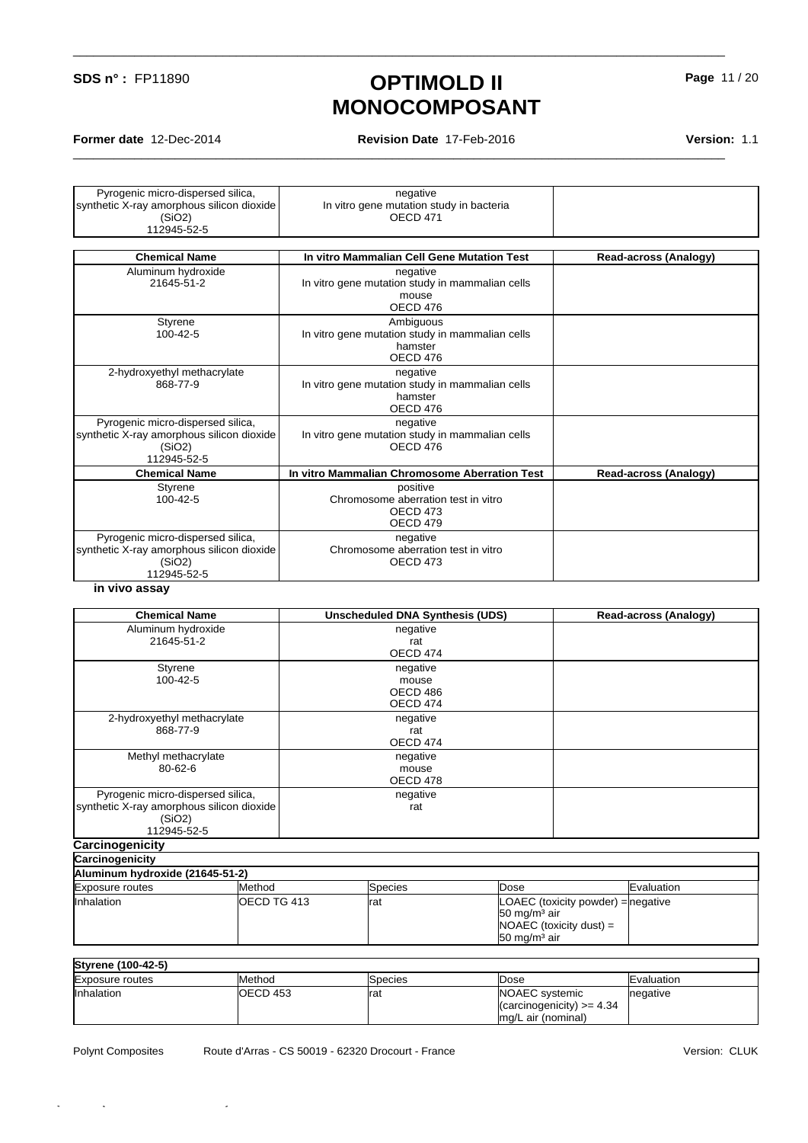**Former date** 12-Dec-2014 **Revision Date** 17-Feb-2016 **Version:** 1.1

\_\_\_\_\_\_\_\_\_\_\_\_\_\_\_\_\_\_\_\_\_\_\_\_\_\_\_\_\_\_\_\_\_\_\_\_\_\_\_\_\_\_\_\_\_\_\_\_\_\_\_\_\_\_\_\_\_\_\_\_\_\_\_\_\_\_\_\_\_\_\_\_\_\_\_\_\_\_\_\_\_\_\_\_\_\_\_\_\_\_\_\_\_\_\_\_

\_\_\_\_\_\_\_\_\_\_\_\_\_\_\_\_\_\_\_\_\_\_\_\_\_\_\_\_\_\_\_\_\_\_\_\_\_\_\_\_\_\_\_\_\_\_\_\_\_\_\_\_\_\_\_\_\_\_\_\_\_\_\_\_\_\_\_\_\_\_\_\_\_\_\_\_\_\_\_\_\_\_\_\_\_\_\_\_\_\_\_\_\_\_\_\_

| Pyrogenic micro-dispersed silica,<br>synthetic X-ray amorphous silicon dioxide                          | negative<br>In vitro gene mutation study in bacteria                                |                              |
|---------------------------------------------------------------------------------------------------------|-------------------------------------------------------------------------------------|------------------------------|
| (SiO2)                                                                                                  | <b>OECD 471</b>                                                                     |                              |
| 112945-52-5                                                                                             |                                                                                     |                              |
| <b>Chemical Name</b>                                                                                    | In vitro Mammalian Cell Gene Mutation Test                                          | <b>Read-across (Analogy)</b> |
| Aluminum hydroxide<br>21645-51-2                                                                        | negative<br>In vitro gene mutation study in mammalian cells<br>mouse<br>OECD 476    |                              |
| Styrene<br>$100 - 42 - 5$                                                                               | Ambiguous<br>In vitro gene mutation study in mammalian cells<br>hamster<br>OECD 476 |                              |
| 2-hydroxyethyl methacrylate<br>868-77-9                                                                 | negative<br>In vitro gene mutation study in mammalian cells<br>hamster<br>OECD 476  |                              |
| Pyrogenic micro-dispersed silica,<br>synthetic X-ray amorphous silicon dioxide<br>(SiO2)<br>112945-52-5 | negative<br>In vitro gene mutation study in mammalian cells<br>OECD 476             |                              |
| <b>Chemical Name</b>                                                                                    | In vitro Mammalian Chromosome Aberration Test                                       | Read-across (Analogy)        |
| Styrene<br>100-42-5                                                                                     | positive<br>Chromosome aberration test in vitro<br>OECD <sub>473</sub><br>OECD 479  |                              |
| Pyrogenic micro-dispersed silica,<br>synthetic X-ray amorphous silicon dioxide<br>(SiO2)<br>112945-52-5 | negative<br>Chromosome aberration test in vitro<br>OECD <sub>473</sub>              |                              |

#### **in vivo assay**

| <b>Chemical Name</b>                      |               | <b>Unscheduled DNA Synthesis (UDS)</b> |      |                                    | Read-across (Analogy) |
|-------------------------------------------|---------------|----------------------------------------|------|------------------------------------|-----------------------|
| Aluminum hydroxide                        |               | negative                               |      |                                    |                       |
| 21645-51-2                                |               | rat                                    |      |                                    |                       |
|                                           |               | OECD 474                               |      |                                    |                       |
| Styrene                                   |               | negative                               |      |                                    |                       |
| 100-42-5                                  |               | mouse                                  |      |                                    |                       |
|                                           |               | OECD 486                               |      |                                    |                       |
|                                           |               | OECD 474                               |      |                                    |                       |
| 2-hydroxyethyl methacrylate               |               | negative                               |      |                                    |                       |
| 868-77-9                                  |               | rat                                    |      |                                    |                       |
|                                           |               | OECD 474                               |      |                                    |                       |
| Methyl methacrylate                       |               | negative                               |      |                                    |                       |
| $80 - 62 - 6$                             |               | mouse                                  |      |                                    |                       |
|                                           |               | OECD 478                               |      |                                    |                       |
| Pyrogenic micro-dispersed silica,         |               | negative                               |      |                                    |                       |
| synthetic X-ray amorphous silicon dioxide |               | rat                                    |      |                                    |                       |
| (SiO2)                                    |               |                                        |      |                                    |                       |
| 112945-52-5                               |               |                                        |      |                                    |                       |
| Carcinogenicity                           |               |                                        |      |                                    |                       |
| Carcinogenicity                           |               |                                        |      |                                    |                       |
| Aluminum hydroxide (21645-51-2)           |               |                                        |      |                                    |                       |
| <b>Exposure routes</b>                    | <b>Method</b> | Species                                | Dose |                                    | Evaluation            |
| Inhalation                                | OECD TG 413   | Irat                                   |      | LOAEC (toxicity powder) = negative |                       |

| Inhalation             | <b>IOECD TG 413</b> | rat             | LOAEC (toxicity powder) = negative<br>$150 \text{ mg/m}^3$ air<br>$NOAEC$ (toxicity dust) =<br>$50 \text{ mg/m}^3$ air |            |
|------------------------|---------------------|-----------------|------------------------------------------------------------------------------------------------------------------------|------------|
| Styrene (100-42-5)     |                     |                 |                                                                                                                        |            |
| <b>Exposure routes</b> | Method              | <b>S</b> pecies | IDose                                                                                                                  | Evaluation |
| <b>Inhalation</b>      | <b>IOECD 453</b>    | rat             | NOAEC systemic<br>$\vert$ (carcinogenicity) >= 4.34<br>mg/L air (nominal)                                              | negative   |

Quick-FDS [17581-12040-15584-010566] - 2016-02-18 - 03:20:40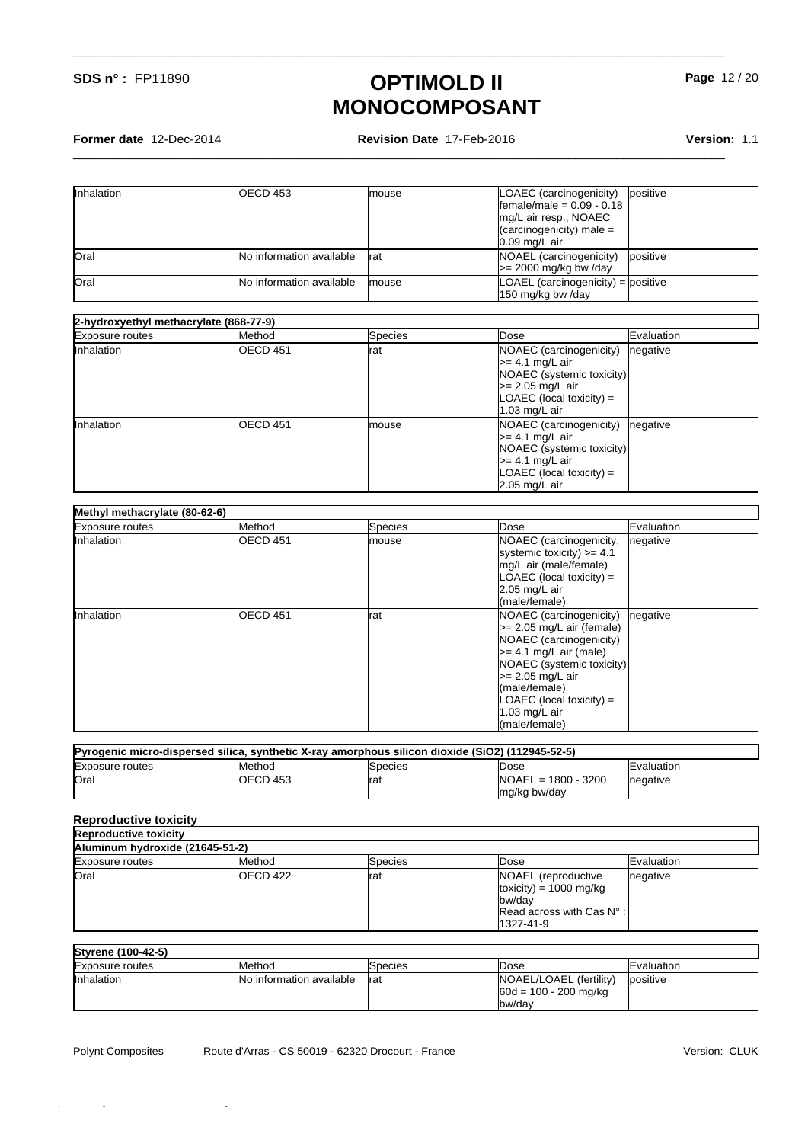**Former date** 12-Dec-2014 **Revision Date** 17-Feb-2016 **Version:** 1.1

\_\_\_\_\_\_\_\_\_\_\_\_\_\_\_\_\_\_\_\_\_\_\_\_\_\_\_\_\_\_\_\_\_\_\_\_\_\_\_\_\_\_\_\_\_\_\_\_\_\_\_\_\_\_\_\_\_\_\_\_\_\_\_\_\_\_\_\_\_\_\_\_\_\_\_\_\_\_\_\_\_\_\_\_\_\_\_\_\_\_\_\_\_\_\_\_

\_\_\_\_\_\_\_\_\_\_\_\_\_\_\_\_\_\_\_\_\_\_\_\_\_\_\_\_\_\_\_\_\_\_\_\_\_\_\_\_\_\_\_\_\_\_\_\_\_\_\_\_\_\_\_\_\_\_\_\_\_\_\_\_\_\_\_\_\_\_\_\_\_\_\_\_\_\_\_\_\_\_\_\_\_\_\_\_\_\_\_\_\_\_\_\_

| Inhalation | <b>OECD 453</b>                 | Imouse        | LOAEC (carcinogenicity)<br>Ifemale/male = $0.09 - 0.18$<br>Img/L air resp., NOAEC<br>$\sqrt{2}$ (carcinogenicity) male =<br>$0.09$ mg/L air | positive |
|------------|---------------------------------|---------------|---------------------------------------------------------------------------------------------------------------------------------------------|----------|
| Oral       | <b>No information available</b> | Irat          | NOAEL (carcinogenicity)<br>$\ge$ 2000 mg/kg bw/day                                                                                          | positive |
| Oral       | <b>No information available</b> | <i>Imouse</i> | $LOAEL$ (carcinogenicity) = positive<br>150 mg/kg bw /day                                                                                   |          |

| 2-hydroxyethyl methacrylate (868-77-9) |                      |               |                                                                                                                                                           |            |
|----------------------------------------|----------------------|---------------|-----------------------------------------------------------------------------------------------------------------------------------------------------------|------------|
| <b>Exposure routes</b>                 | Method               | Species       | Dose                                                                                                                                                      | Evaluation |
| Inhalation                             | <b>IOECD 451</b>     | Irat          | NOAEC (carcinogenicity)<br>->= 4.1 mg/L air<br>NOAEC (systemic toxicity)<br>$\ge$ 2.05 mg/L air<br>$\mathsf{LOAEC}$ (local toxicity) =<br>1.03 mg/L $air$ | negative   |
| Inhalation                             | IOECD <sub>451</sub> | <i>Imouse</i> | NOAEC (carcinogenicity)<br>>= 4.1 mg/L air<br>NOAEC (systemic toxicity)<br>>= 4.1 mg/L air<br>LOAEC (local toxicity) =<br>2.05 mg/L air                   | negative   |

| Methyl methacrylate (80-62-6) |                  |              |                                                                                                                                                                                                                                                       |            |  |
|-------------------------------|------------------|--------------|-------------------------------------------------------------------------------------------------------------------------------------------------------------------------------------------------------------------------------------------------------|------------|--|
| <b>Exposure routes</b>        | <b>Method</b>    | Species      | Dose                                                                                                                                                                                                                                                  | Evaluation |  |
| Inhalation                    | <b>IOECD 451</b> | <b>mouse</b> | NOAEC (carcinogenicity,<br>systemic toxicity) $>= 4.1$<br>mg/L air (male/female)<br>$\mathsf{LOAEC}$ (local toxicity) =<br>$2.05$ mg/L air<br>(male/female)                                                                                           | negative   |  |
| Inhalation                    | <b>IOECD 451</b> | Irat         | NOAEC (carcinogenicity)<br>$\ge$ 2.05 mg/L air (female)<br>NOAEC (carcinogenicity)<br>$\ge$ 4.1 mg/L air (male)<br>NOAEC (systemic toxicity)<br>$>= 2.05$ mg/L air<br>(male/female)<br>$LOAEC$ (local toxicity) =<br>1.03 mg/L $air$<br>(male/female) | negative   |  |

| Pyrogenic micro-dispersed silica, synthetic X-ray amorphous silicon dioxide (SiO2) (112945-52-5) |          |         |                       |                    |
|--------------------------------------------------------------------------------------------------|----------|---------|-----------------------|--------------------|
| Exposure routes                                                                                  | Method   | Species | Dose                  | <b>IEvaluation</b> |
| Oral                                                                                             | OECD 453 | Irat    | $NOAEL = 1800 - 3200$ | negative           |
|                                                                                                  |          |         | Img/kg bw/dav         |                    |

#### **Reproductive toxicity**

| <b>Reproductive toxicity</b>    |                 |                 |                                                                                                                                   |                     |
|---------------------------------|-----------------|-----------------|-----------------------------------------------------------------------------------------------------------------------------------|---------------------|
| Aluminum hydroxide (21645-51-2) |                 |                 |                                                                                                                                   |                     |
| <b>Exposure routes</b>          | Method          | <b>S</b> pecies | Dose                                                                                                                              | <b>IE</b> valuation |
| Oral                            | <b>OECD 422</b> | Irat            | NOAEL (reproductive<br>toxicity) = $1000 \text{ mg/kg}$<br>bw/dav<br>$\blacksquare$ Read across with Cas $N^\circ$ :<br>1327-41-9 | negative            |

| Styrene (100-42-5)     |                                  |          |                                                    |                     |
|------------------------|----------------------------------|----------|----------------------------------------------------|---------------------|
| <b>Exposure routes</b> | Method                           | lSpecies | Dose                                               | <b>IE</b> valuation |
| Inhalation             | <b>INo information available</b> | Irat     | NOAEL/LOAEL (fertility)<br>$60d = 100 - 200$ mg/kg | <b>l</b> positive   |
|                        |                                  |          | bw/dav                                             |                     |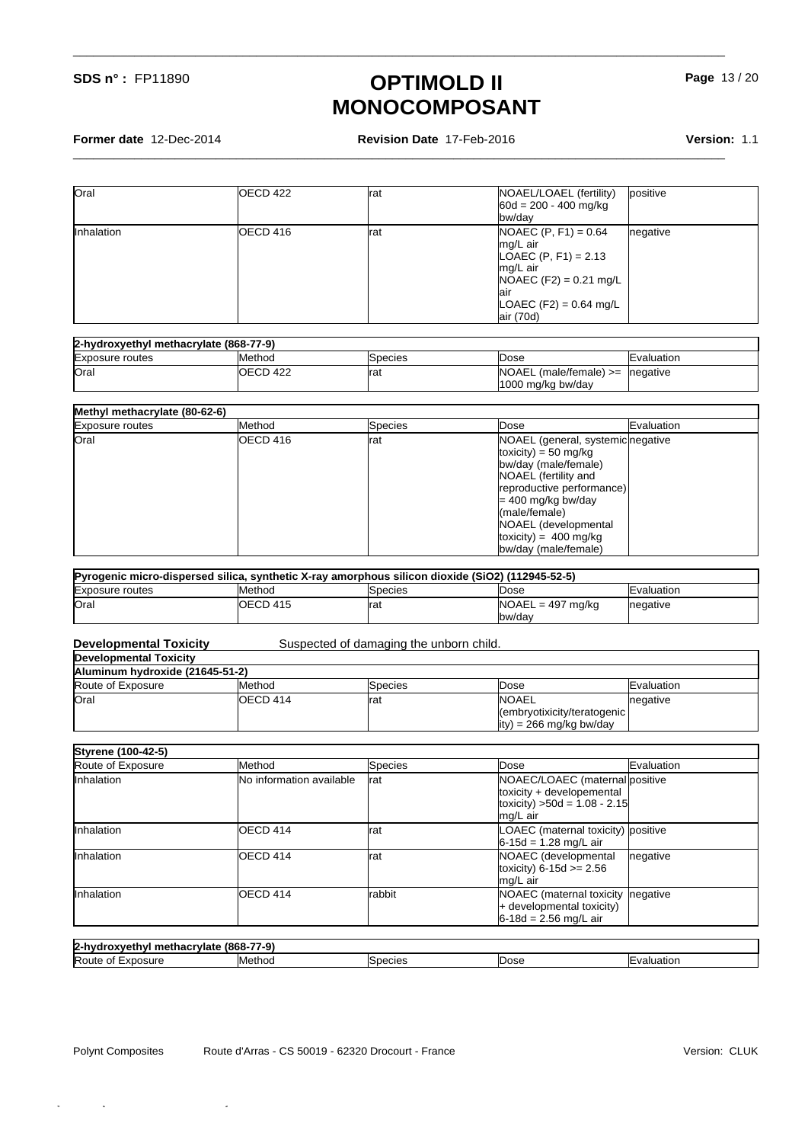**Former date** 12-Dec-2014 **Revision Date** 17-Feb-2016 **Version:** 1.1

\_\_\_\_\_\_\_\_\_\_\_\_\_\_\_\_\_\_\_\_\_\_\_\_\_\_\_\_\_\_\_\_\_\_\_\_\_\_\_\_\_\_\_\_\_\_\_\_\_\_\_\_\_\_\_\_\_\_\_\_\_\_\_\_\_\_\_\_\_\_\_\_\_\_\_\_\_\_\_\_\_\_\_\_\_\_\_\_\_\_\_\_\_\_\_\_

\_\_\_\_\_\_\_\_\_\_\_\_\_\_\_\_\_\_\_\_\_\_\_\_\_\_\_\_\_\_\_\_\_\_\_\_\_\_\_\_\_\_\_\_\_\_\_\_\_\_\_\_\_\_\_\_\_\_\_\_\_\_\_\_\_\_\_\_\_\_\_\_\_\_\_\_\_\_\_\_\_\_\_\_\_\_\_\_\_\_\_\_\_\_\_\_

| Oral       | <b>OECD 422</b> | Irat | NOAEL/LOAEL (fertility)<br>positive<br>$60d = 200 - 400$ mg/kg<br><b>Ibw/dav</b>                                                                                   |
|------------|-----------------|------|--------------------------------------------------------------------------------------------------------------------------------------------------------------------|
| Inhalation | IOECD 416       | Irat | $NOAEC (P, F1) = 0.64$<br>negative<br>Img/L air<br>LOAEC $(P, F1) = 2.13$<br>mg/L air<br>$NOAEC (F2) = 0.21$ mg/L<br>lair<br>$LOAEC (F2) = 0.64$ mg/L<br>air (70d) |

| 2-hydroxyethyl methacrylate (868-77-9) |           |         |                            |                     |
|----------------------------------------|-----------|---------|----------------------------|---------------------|
| <b>Exposure routes</b>                 | Method    | Species | <b>IDose</b>               | <b>IE</b> valuation |
| Oral                                   | IOECD 422 | Irat    | $NOAEL$ (male/female) $>=$ | Inegative           |
|                                        |           |         | 1000 mg/kg bw/day          |                     |

#### **Methyl methacrylate (80-62-6)**

| <b>Exposure routes</b> | Method           | Species | <b>IDose</b>                                                                                                                                                                    | Evaluation |
|------------------------|------------------|---------|---------------------------------------------------------------------------------------------------------------------------------------------------------------------------------|------------|
| Oral                   | <b>IOECD 416</b> | Irat    | NOAEL (general, systemic negative<br>toxicity) = 50 mg/kg<br>bw/day (male/female)<br>NOAEL (fertility and<br>reproductive performance)<br>$= 400$ mg/kg bw/day<br>(male/female) |            |
|                        |                  |         | NOAEL (developmental<br>toxicity) = $400 \text{ mg/kg}$<br>bw/day (male/female)                                                                                                 |            |

| Pyrogenic micro-dispersed silica, synthetic X-ray amorphous silicon dioxide (SiO2) (112945-52-5) |                 |         |                     |                     |  |
|--------------------------------------------------------------------------------------------------|-----------------|---------|---------------------|---------------------|--|
| <b>Exposure routes</b>                                                                           | <b>I</b> Method | Species | <b>Dose</b>         | <b>IE</b> valuation |  |
| <b>Oral</b>                                                                                      | OECD 415        | Irat    | $NOAEL = 497$ mg/kg | Inegative           |  |
|                                                                                                  |                 |         | bw/day              |                     |  |

#### Suspected of damaging the unborn child.

# **Developmental Toxicity**

| Aluminum hydroxide (21645-51-2) |                 |          |                                                                           |                     |
|---------------------------------|-----------------|----------|---------------------------------------------------------------------------|---------------------|
| Route of Exposure               | <b>I</b> Method | lSpecies | IDose                                                                     | <b>IE</b> valuation |
| Oral                            | OECD 414        | Irat     | <b>INOAEL</b><br>(embryotixicity/teratogenic)<br>$ity$ = 266 mg/kg bw/day | negative            |

| Styrene (100-42-5) |                                  |         |                                                                                                            |            |
|--------------------|----------------------------------|---------|------------------------------------------------------------------------------------------------------------|------------|
| Route of Exposure  | <b>Method</b>                    | Species | <b>IDose</b>                                                                                               | Evaluation |
| Inhalation         | <b>INo information available</b> | Irat    | NOAEC/LOAEC (maternal positive<br>toxicity + developemental<br>toxicity) $>50d = 1.08 - 2.15$<br>lmg/L air |            |
| Inhalation         | OECD 414                         | Irat    | LOAEC (maternal toxicity) positive<br>$6 - 15d = 1.28$ mg/L air                                            |            |
| Inhalation         | OECD 414                         | Irat    | NOAEC (developmental<br>toxicity) $6 - 15d >= 2.56$<br>mg/L air                                            | negative   |
| Inhalation         | IOECD 414                        | Irabbit | NOAEC (maternal toxicity negative<br>+ developmental toxicity)<br>$6-18d = 2.56$ mg/L air                  |            |

### **2-hydroxyethyl methacrylate (868-77-9)**

| $\mathbf{r}$ a. write the contract state to the contract of |                 |        |      |               |
|-------------------------------------------------------------|-----------------|--------|------|---------------|
| Route<br><b>OSUITE</b><br>∙xn                               | <b>I</b> Methoc | becie. | ∍ose | alu.<br>וסוזנ |
|                                                             |                 |        |      |               |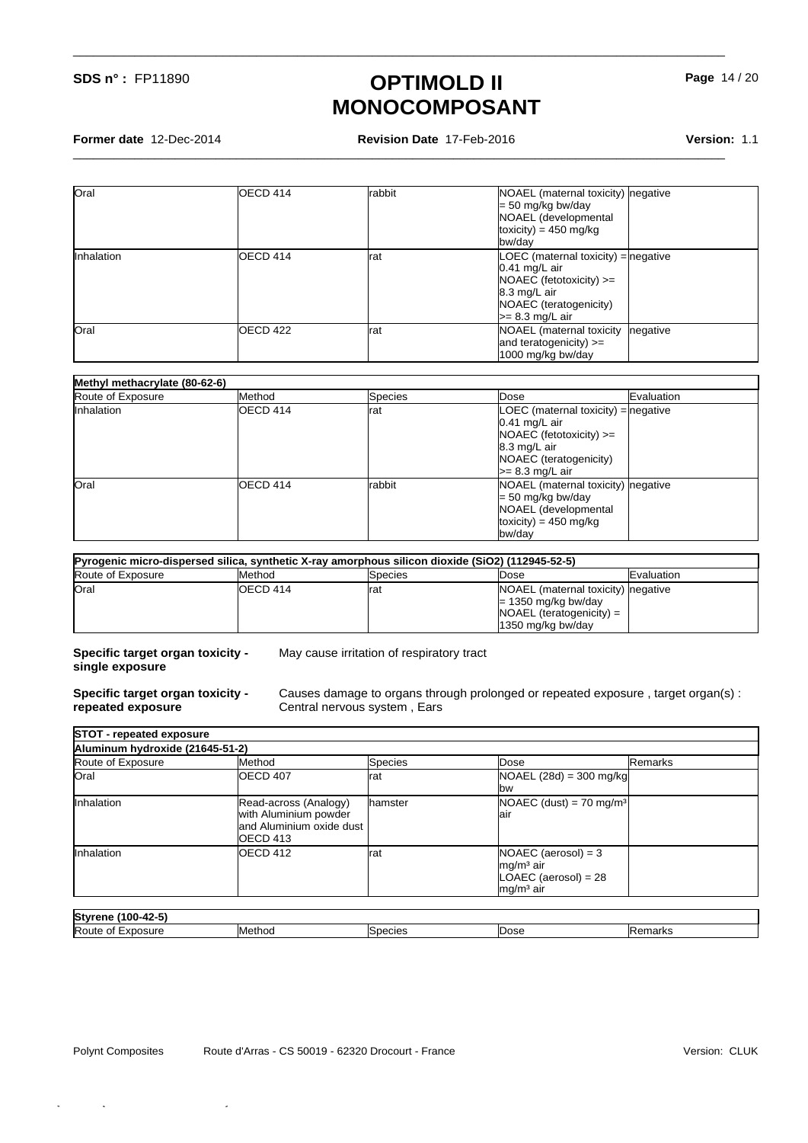**Former date** 12-Dec-2014 **Revision Date** 17-Feb-2016 **Version:** 1.1

\_\_\_\_\_\_\_\_\_\_\_\_\_\_\_\_\_\_\_\_\_\_\_\_\_\_\_\_\_\_\_\_\_\_\_\_\_\_\_\_\_\_\_\_\_\_\_\_\_\_\_\_\_\_\_\_\_\_\_\_\_\_\_\_\_\_\_\_\_\_\_\_\_\_\_\_\_\_\_\_\_\_\_\_\_\_\_\_\_\_\_\_\_\_\_\_

\_\_\_\_\_\_\_\_\_\_\_\_\_\_\_\_\_\_\_\_\_\_\_\_\_\_\_\_\_\_\_\_\_\_\_\_\_\_\_\_\_\_\_\_\_\_\_\_\_\_\_\_\_\_\_\_\_\_\_\_\_\_\_\_\_\_\_\_\_\_\_\_\_\_\_\_\_\_\_\_\_\_\_\_\_\_\_\_\_\_\_\_\_\_\_\_

**Page** 14 / 20

| Oral       | OECD 414          | Irabbit | NOAEL (maternal toxicity) negative<br>$= 50$ mg/kg bw/day<br>NOAEL (developmental<br>$toxicity) = 450$ mg/kg<br>bw/day                                 |
|------------|-------------------|---------|--------------------------------------------------------------------------------------------------------------------------------------------------------|
| Inhalation | <b>I</b> OECD 414 | Irat    | LOEC (maternal toxicity) = negative<br>$0.41$ mg/L air<br>$NOAEC$ (fetotoxicity) $>=$<br>8.3 mg/L air<br>NOAEC (teratogenicity)<br>$\geq$ 8.3 mg/L air |
| Oral       | <b>I</b> OECD 422 | Irat    | NOAEL (maternal toxicity<br>negative<br>and teratogenicity) $>=$<br>1000 mg/kg bw/day                                                                  |

#### **Methyl methacrylate (80-62-6)**

| Route of Exposure | Method           | Species | Evaluation<br><b>Dose</b>                                                                                                                                |  |
|-------------------|------------------|---------|----------------------------------------------------------------------------------------------------------------------------------------------------------|--|
| Inhalation        | <b>IOECD 414</b> | Irat    | $LOEC$ (maternal toxicity) = negative<br>$0.41$ mg/L air<br>$NOAEC$ (fetotoxicity) $>=$<br>8.3 mg/L air<br>NOAEC (teratogenicity)<br>$\geq$ 8.3 mg/L air |  |
| Oral              | <b>IOECD 414</b> | Irabbit | NOAEL (maternal toxicity) negative<br>$= 50$ mg/kg bw/day<br>NOAEL (developmental<br>toxicity) = $450 \text{ mg/kg}$<br>bw/day                           |  |

| Pyrogenic micro-dispersed silica, synthetic X-ray amorphous silicon dioxide (SiO2) (112945-52-5) |                 |         |                                                                                                                 |                     |  |  |
|--------------------------------------------------------------------------------------------------|-----------------|---------|-----------------------------------------------------------------------------------------------------------------|---------------------|--|--|
| Route of Exposure                                                                                | <b>I</b> Method | Species | Dose                                                                                                            | <b>IE</b> valuation |  |  |
| Oral                                                                                             | IOECD 414       | Irat    | NOAEL (maternal toxicity) negative<br>$= 1350$ mg/kg bw/day<br>$NOAEL$ (teratogenicity) =<br>11350 mg/kg bw/day |                     |  |  |

**Specific target organ toxicity single exposure**

May cause irritation of respiratory tract

**Specific target organ toxicity repeated exposure**

Causes damage to organs through prolonged or repeated exposure , target organ(s) : Central nervous system , Ears

| Aluminum hydroxide (21645-51-2) |                           |                  |                                       |         |
|---------------------------------|---------------------------|------------------|---------------------------------------|---------|
| Route of Exposure               | Method                    | <b>Species</b>   | Dose                                  | Remarks |
| Oral                            | <b>IOECD 407</b>          | Irat             | $NOAEL (28d) = 300 mg/kg$             |         |
|                                 |                           |                  | <b>I</b> bw                           |         |
| Inhalation                      | Read-across (Analogy)     | <b>I</b> hamster | $NOAEC$ (dust) = 70 mg/m <sup>3</sup> |         |
|                                 | with Aluminium powder     |                  | lair                                  |         |
|                                 | land Aluminium oxide dust |                  |                                       |         |
|                                 | <b>I</b> OECD 413         |                  |                                       |         |
| Inhalation                      | <b>I</b> OECD 412         | Irat             | $NOAEC (aerosol) = 3$                 |         |
|                                 |                           |                  | $mg/m3$ air                           |         |
|                                 |                           |                  | $LOAEC$ (aerosol) = 28                |         |
|                                 |                           |                  | $mg/m3$ air                           |         |

| $\sim$ $\sim$<br>Stvre<br>r 16<br>IUU-42-3<br>-- |                 |                   |      |                           |
|--------------------------------------------------|-----------------|-------------------|------|---------------------------|
| Route<br>osure<br>ΟŤ<br>$-10o$<br>111            | <b>I</b> Method | ءەنبمەد<br>,,,,,, | Dose | $  \frac{1}{2}$<br>uldin. |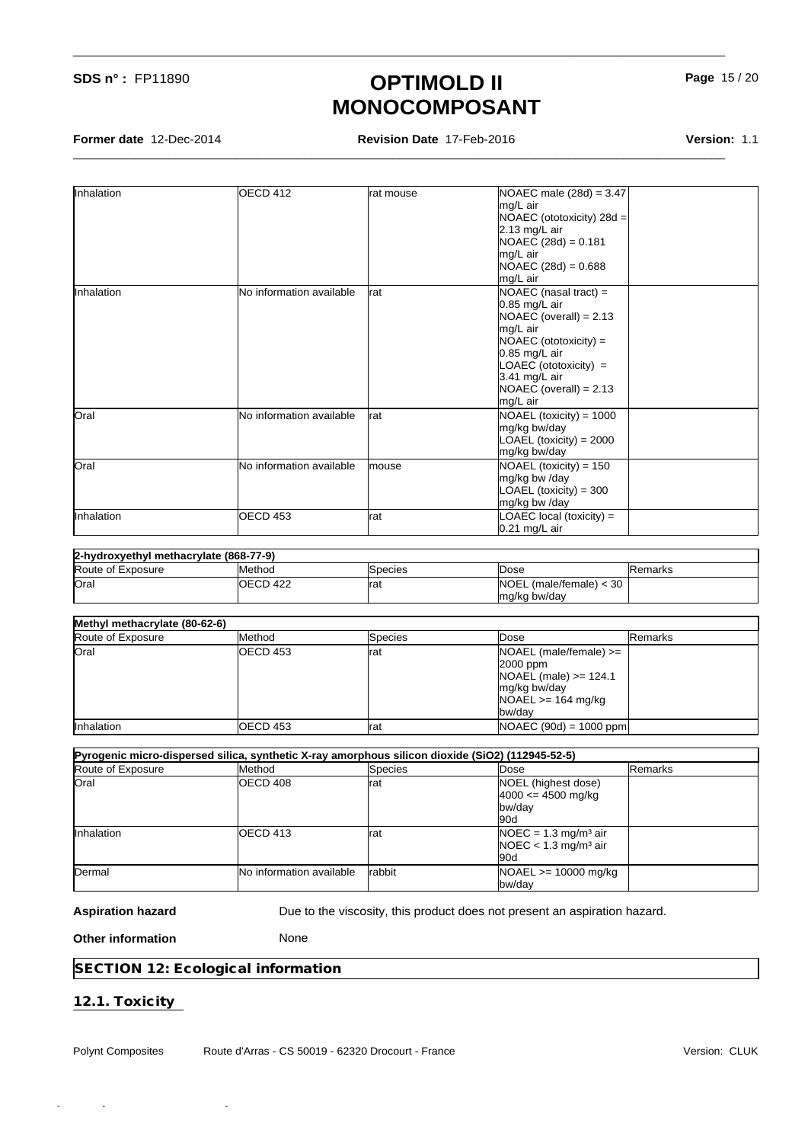**Former date** 12-Dec-2014 **Revision Date** 17-Feb-2016 **Version:** 1.1

\_\_\_\_\_\_\_\_\_\_\_\_\_\_\_\_\_\_\_\_\_\_\_\_\_\_\_\_\_\_\_\_\_\_\_\_\_\_\_\_\_\_\_\_\_\_\_\_\_\_\_\_\_\_\_\_\_\_\_\_\_\_\_\_\_\_\_\_\_\_\_\_\_\_\_\_\_\_\_\_\_\_\_\_\_\_\_\_\_\_\_\_\_\_\_\_

\_\_\_\_\_\_\_\_\_\_\_\_\_\_\_\_\_\_\_\_\_\_\_\_\_\_\_\_\_\_\_\_\_\_\_\_\_\_\_\_\_\_\_\_\_\_\_\_\_\_\_\_\_\_\_\_\_\_\_\_\_\_\_\_\_\_\_\_\_\_\_\_\_\_\_\_\_\_\_\_\_\_\_\_\_\_\_\_\_\_\_\_\_\_\_\_

| Inhalation | OECD 412                 | rat mouse | NOAEC male $(28d) = 3.47$<br>mg/L air<br>NOAEC (ototoxicity) 28d =<br>2.13 mg/L air<br>$NOAEC (28d) = 0.181$<br>mg/L air<br>$NOAEC (28d) = 0.688$<br>lmg/L air                                                       |  |
|------------|--------------------------|-----------|----------------------------------------------------------------------------------------------------------------------------------------------------------------------------------------------------------------------|--|
| Inhalation | No information available | rat       | NOAEC (nasal tract) $=$<br>$0.85$ mg/L air<br>$NOAEC$ (overall) = 2.13<br>mg/L air<br>$NOAEC (ototoxicity) =$<br>$0.85$ mg/L air<br>$LOAEC (ototoxicity) =$<br>3.41 mg/L air<br>$NOAEC$ (overall) = 2.13<br>mg/L air |  |
| Oral       | No information available | rat       | NOAEL (toxicity) = 1000<br>mg/kg bw/day<br>$LOAEL$ (toxicity) = 2000<br>mg/kg bw/day                                                                                                                                 |  |
| Oral       | No information available | Imouse    | NOAEL (toxicity) = $150$<br>mg/kg bw /day<br>$LOAEL$ (toxicity) = 300<br>mg/kg bw /day                                                                                                                               |  |
| Inhalation | <b>OECD 453</b>          | rat       | LOAEC local (toxicity) =<br>$0.21$ mg/L air                                                                                                                                                                          |  |

| 2-hydroxyethyl methacrylate (868-77-9) |           |          |                                   |          |  |  |
|----------------------------------------|-----------|----------|-----------------------------------|----------|--|--|
| Route of Exposure                      | Method    | ISpecies | Dose                              | IRemarks |  |  |
| Oral                                   | IOECD 422 | rat      | <b>NOEL</b> (male/female)<br>< 30 |          |  |  |
|                                        |           |          | Img/kg bw/day                     |          |  |  |

| Methyl methacrylate (80-62-6) |  |
|-------------------------------|--|
|-------------------------------|--|

| $\frac{1}{2}$     |           |          |                            |          |
|-------------------|-----------|----------|----------------------------|----------|
| Route of Exposure | Method    | lSpecies | IDose                      | IRemarks |
| Oral              | IOECD 453 | Irat     | $NOAEL$ (male/female) $>=$ |          |
|                   |           |          | $2000$ ppm                 |          |
|                   |           |          | $NOAEL$ (male) $>= 124.1$  |          |
|                   |           |          | mg/kg bw/day               |          |
|                   |           |          | $NOAEL \ge 164$ mg/kg      |          |
|                   |           |          | lbw/dav                    |          |
| Inhalation        | OECD 453  | Irat     | $NOAEC (90d) = 1000 ppm$   |          |

| Pyrogenic micro-dispersed silica, synthetic X-ray amorphous silicon dioxide (SiO2) (112945-52-5) |                                 |                |                                                                                  |          |  |  |
|--------------------------------------------------------------------------------------------------|---------------------------------|----------------|----------------------------------------------------------------------------------|----------|--|--|
| Route of Exposure                                                                                | <b>Method</b>                   | <b>Species</b> | <b>IDose</b>                                                                     | IRemarks |  |  |
| Oral                                                                                             | <b>IOECD 408</b>                | Irat           | NOEL (highest dose)<br>$4000 \le 4500$ mg/kg<br><b>Ibw/dav</b><br>l90d           |          |  |  |
| Inhalation                                                                                       | IOECD 413                       | rat            | $NOEC = 1.3$ mg/m <sup>3</sup> air<br>$NOEC < 1.3$ mg/m <sup>3</sup> air<br>l90d |          |  |  |
| Dermal                                                                                           | <b>No information available</b> | <b>Irabbit</b> | $NOAEL \ge 10000$ mg/kg<br><b>l</b> bw/dav                                       |          |  |  |

Aspiration hazard **Due to the viscosity, this product does not present an aspiration hazard.** 

**Other information** None

**SECTION 12: Ecological information**

Quick-FDS [17581-12040-15584-010566] - 2016-02-18 - 03:20:40

**12.1. Toxicity** 

٦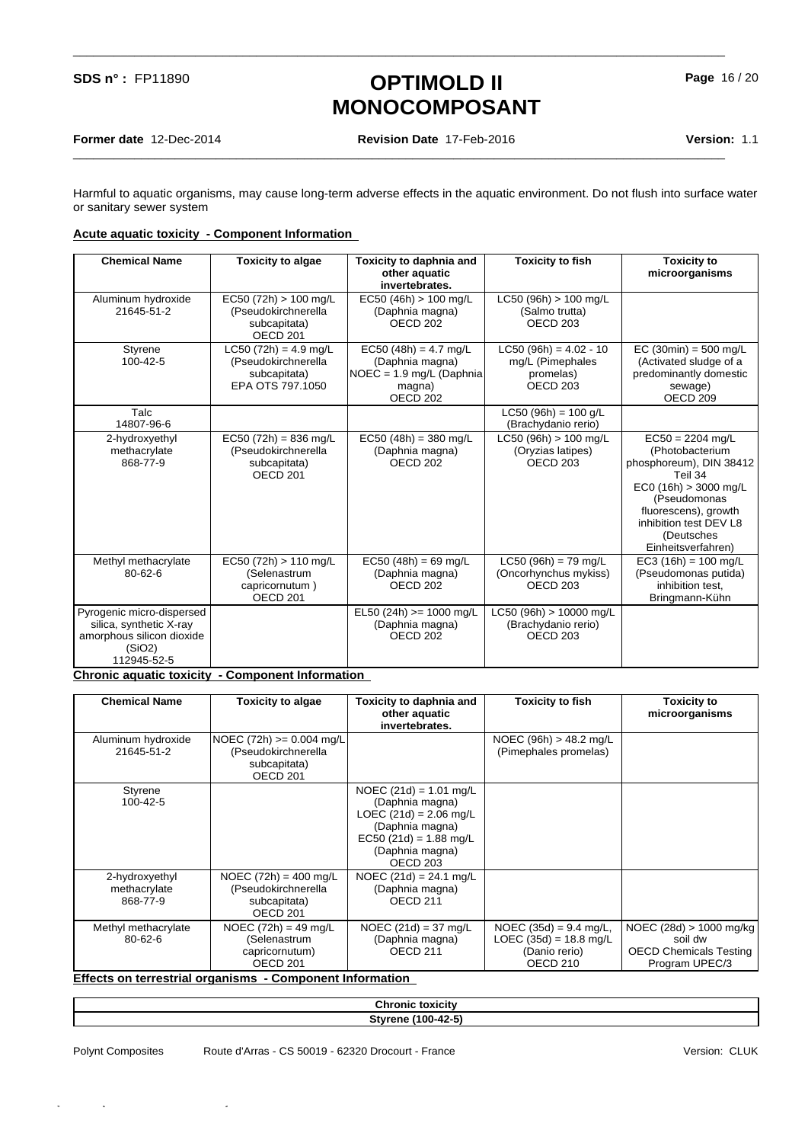\_\_\_\_\_\_\_\_\_\_\_\_\_\_\_\_\_\_\_\_\_\_\_\_\_\_\_\_\_\_\_\_\_\_\_\_\_\_\_\_\_\_\_\_\_\_\_\_\_\_\_\_\_\_\_\_\_\_\_\_\_\_\_\_\_\_\_\_\_\_\_\_\_\_\_\_\_\_\_\_\_\_\_\_\_\_\_\_\_\_\_\_\_\_\_\_

\_\_\_\_\_\_\_\_\_\_\_\_\_\_\_\_\_\_\_\_\_\_\_\_\_\_\_\_\_\_\_\_\_\_\_\_\_\_\_\_\_\_\_\_\_\_\_\_\_\_\_\_\_\_\_\_\_\_\_\_\_\_\_\_\_\_\_\_\_\_\_\_\_\_\_\_\_\_\_\_\_\_\_\_\_\_\_\_\_\_\_\_\_\_\_\_

Harmful to aquatic organisms, may cause long-term adverse effects in the aquatic environment. Do not flush into surface water or sanitary sewer system

#### **Acute aquatic toxicity - Component Information**

| <b>Chemical Name</b>                                                                                                                                          | <b>Toxicity to algae</b>                                                              | Toxicity to daphnia and<br>other aquatic<br>invertebrates.                                                 | <b>Toxicity to fish</b>                                                          | <b>Toxicity to</b><br>microorganisms                                                                                                                                                                        |
|---------------------------------------------------------------------------------------------------------------------------------------------------------------|---------------------------------------------------------------------------------------|------------------------------------------------------------------------------------------------------------|----------------------------------------------------------------------------------|-------------------------------------------------------------------------------------------------------------------------------------------------------------------------------------------------------------|
| Aluminum hydroxide<br>21645-51-2                                                                                                                              | $EC50 (72h) > 100$ mg/L<br>(Pseudokirchnerella<br>subcapitata)<br>OECD <sub>201</sub> | $EC50 (46h) > 100$ mg/L<br>(Daphnia magna)<br>OECD <sub>202</sub>                                          | $LC50$ (96h) $> 100$ mg/L<br>(Salmo trutta)<br>OECD <sub>203</sub>               |                                                                                                                                                                                                             |
| Styrene<br>100-42-5                                                                                                                                           | $LC50 (72h) = 4.9 mg/L$<br>(Pseudokirchnerella<br>subcapitata)<br>EPA OTS 797.1050    | $EC50 (48h) = 4.7 mg/L$<br>(Daphnia magna)<br>$NOEC = 1.9$ mg/L (Daphnia)<br>magna)<br>OECD <sub>202</sub> | $LC50 (96h) = 4.02 - 10$<br>mg/L (Pimephales<br>promelas)<br>OECD <sub>203</sub> | $EC (30min) = 500 mg/L$<br>(Activated sludge of a<br>predominantly domestic<br>sewage)<br>OECD <sub>209</sub>                                                                                               |
| Talc<br>14807-96-6                                                                                                                                            |                                                                                       |                                                                                                            | $LC50 (96h) = 100 q/L$<br>(Brachydanio rerio)                                    |                                                                                                                                                                                                             |
| 2-hydroxyethyl<br>methacrylate<br>868-77-9                                                                                                                    | $EC50 (72h) = 836 mg/L$<br>(Pseudokirchnerella<br>subcapitata)<br>OECD <sub>201</sub> | $EC50 (48h) = 380$ mg/L<br>(Daphnia magna)<br>OECD <sub>202</sub>                                          | LC50 (96h) > 100 mg/L<br>(Oryzias latipes)<br>OECD <sub>203</sub>                | $EC50 = 2204$ mg/L<br>(Photobacterium<br>phosphoreum), DIN 38412<br>Teil 34<br>$EC0(16h) > 3000$ mg/L<br>(Pseudomonas<br>fluorescens), growth<br>inhibition test DEV L8<br>(Deutsches<br>Einheitsverfahren) |
| Methyl methacrylate<br>$80 - 62 - 6$                                                                                                                          | EC50 (72h) > 110 mg/L<br>(Selenastrum<br>capricornutum)<br>OECD <sub>201</sub>        | $EC50 (48h) = 69 mg/L$<br>(Daphnia magna)<br>OECD <sub>202</sub>                                           | $LC50 (96h) = 79 mg/L$<br>(Oncorhynchus mykiss)<br>OECD <sub>203</sub>           | $EC3(16h) = 100$ mg/L<br>(Pseudomonas putida)<br>inhibition test.<br>Bringmann-Kühn                                                                                                                         |
| Pyrogenic micro-dispersed<br>silica, synthetic X-ray<br>amorphous silicon dioxide<br>(SiO2)<br>112945-52-5<br>Chronic countin touloity. Component Information |                                                                                       | EL50 (24h) >= 1000 mg/L<br>(Daphnia magna)<br>OECD <sub>202</sub>                                          | LC50 (96h) > 10000 mg/L<br>(Brachydanio rerio)<br>OECD <sub>203</sub>            |                                                                                                                                                                                                             |

#### **Chronic aquatic toxicity - Component Information**

| <b>Chemical Name</b>                       | Toxicity to algae                                                                         | Toxicity to daphnia and<br>other aquatic<br>invertebrates.                                                                                                       | <b>Toxicity to fish</b>                                                           | Toxicity to<br>microorganisms                                                           |
|--------------------------------------------|-------------------------------------------------------------------------------------------|------------------------------------------------------------------------------------------------------------------------------------------------------------------|-----------------------------------------------------------------------------------|-----------------------------------------------------------------------------------------|
| Aluminum hydroxide<br>21645-51-2           | $NOEC (72h) \ge 0.004 mg/L$<br>(Pseudokirchnerella<br>subcapitata)<br>OECD <sub>201</sub> |                                                                                                                                                                  | NOEC (96h) $> 48.2$ mg/L<br>(Pimephales promelas)                                 |                                                                                         |
| Styrene<br>100-42-5                        |                                                                                           | NOEC $(21d) = 1.01$ mg/L<br>(Daphnia magna)<br>$LOEC (21d) = 2.06$ mg/L<br>(Daphnia magna)<br>$EC50 (21d) = 1.88$ mg/L<br>(Daphnia magna)<br>OECD <sub>203</sub> |                                                                                   |                                                                                         |
| 2-hydroxyethyl<br>methacrylate<br>868-77-9 | NOEC $(72h) = 400$ mg/L<br>(Pseudokirchnerella<br>subcapitata)<br>OECD <sub>201</sub>     | NOEC $(21d) = 24.1$ mg/L<br>(Daphnia magna)<br>OECD <sub>211</sub>                                                                                               |                                                                                   |                                                                                         |
| Methyl methacrylate<br>$80 - 62 - 6$       | NOEC $(72h) = 49$ mg/L<br>(Selenastrum<br>capricornutum)<br>OECD <sub>201</sub>           | NOEC $(21d) = 37$ mg/L<br>(Daphnia magna)<br>OECD <sub>211</sub>                                                                                                 | NOEC $(35d) = 9.4$ mg/L,<br>$LOEC (35d) = 18.8$ mg/L<br>(Danio rerio)<br>OECD 210 | NOEC $(28d) > 1000$ mg/kg<br>soil dw<br><b>OECD Chemicals Testing</b><br>Program UPEC/3 |

#### **Effects on terrestrial organisms - Component Information**

| Chron.<br>:oxicitv                          |  |
|---------------------------------------------|--|
| $\sim$<br>Styrono<br>ΛM<br>- 31<br>w<br>- - |  |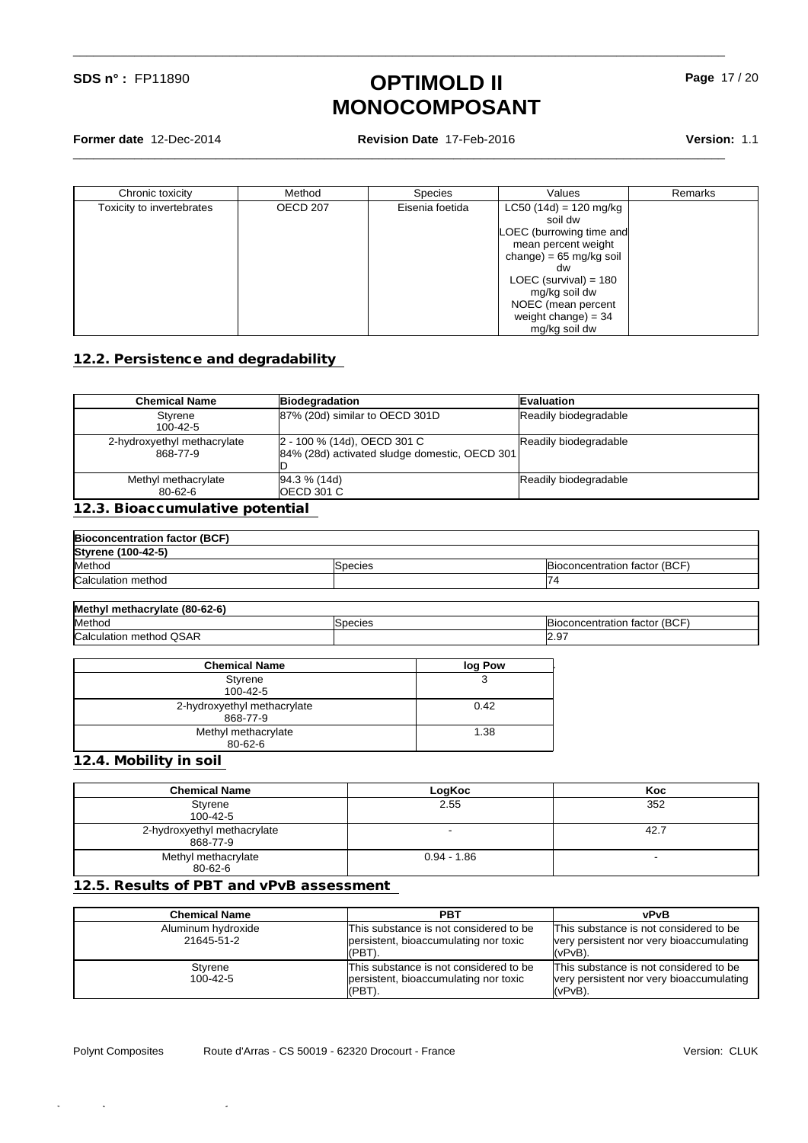**Former date** 12-Dec-2014 **Revision Date** 17-Feb-2016 **Version:** 1.1

\_\_\_\_\_\_\_\_\_\_\_\_\_\_\_\_\_\_\_\_\_\_\_\_\_\_\_\_\_\_\_\_\_\_\_\_\_\_\_\_\_\_\_\_\_\_\_\_\_\_\_\_\_\_\_\_\_\_\_\_\_\_\_\_\_\_\_\_\_\_\_\_\_\_\_\_\_\_\_\_\_\_\_\_\_\_\_\_\_\_\_\_\_\_\_\_

\_\_\_\_\_\_\_\_\_\_\_\_\_\_\_\_\_\_\_\_\_\_\_\_\_\_\_\_\_\_\_\_\_\_\_\_\_\_\_\_\_\_\_\_\_\_\_\_\_\_\_\_\_\_\_\_\_\_\_\_\_\_\_\_\_\_\_\_\_\_\_\_\_\_\_\_\_\_\_\_\_\_\_\_\_\_\_\_\_\_\_\_\_\_\_\_

| Chronic toxicity          | Method          | <b>Species</b>  | Values                            | Remarks |
|---------------------------|-----------------|-----------------|-----------------------------------|---------|
| Toxicity to invertebrates | <b>OECD 207</b> | Eisenia foetida | LC50 (14d) = 120 mg/kg            |         |
|                           |                 |                 | soil dw                           |         |
|                           |                 |                 | LOEC (burrowing time and          |         |
|                           |                 |                 | mean percent weight               |         |
|                           |                 |                 | change) = $65 \text{ mg/kg}$ soil |         |
|                           |                 |                 | dw                                |         |
|                           |                 |                 | LOEC (survival) = $180$           |         |
|                           |                 |                 | mg/kg soil dw                     |         |
|                           |                 |                 | NOEC (mean percent                |         |
|                           |                 |                 | weight change) = $34$             |         |
|                           |                 |                 | mg/kg soil dw                     |         |

#### **12.2. Persistence and degradability**

| <b>Chemical Name</b>                    | Biodegradation                                                               | <b>Evaluation</b>     |
|-----------------------------------------|------------------------------------------------------------------------------|-----------------------|
| Styrene<br>100-42-5                     | 87% (20d) similar to OECD 301D                                               | Readily biodegradable |
| 2-hydroxyethyl methacrylate<br>868-77-9 | 2 - 100 % (14d), OECD 301 C<br>84% (28d) activated sludge domestic, OECD 301 | Readily biodegradable |
| Methyl methacrylate<br>80-62-6          | $[94.3 \% (14d)]$<br>IOECD 301 C                                             | Readily biodegradable |

#### **12.3. Bioaccumulative potential**

| <b>Bioconcentration factor (BCF)</b> |                |                               |
|--------------------------------------|----------------|-------------------------------|
| <b>Styrene (100-42-5)</b>            |                |                               |
| Method                               | <b>Species</b> | Bioconcentration factor (BCF) |
| Calculation method                   |                | 74                            |
|                                      |                |                               |

| Methyl<br>I methacrvlate (80-62-6) |                 |                               |
|------------------------------------|-----------------|-------------------------------|
| Method                             | <b>ISpecies</b> | Bioconcentration factor (BCF) |
| Calculation method QSAR            |                 | 12.97                         |

| <b>Chemical Name</b>        | log Pow |
|-----------------------------|---------|
| Styrene                     | J       |
| 100-42-5                    |         |
| 2-hydroxyethyl methacrylate | 0.42    |
| 868-77-9                    |         |
| Methyl methacrylate         | 1.38    |
| 80-62-6                     |         |

**12.4. Mobility in soil** 

| <b>Chemical Name</b>                    | LogKoc        | Koc  |
|-----------------------------------------|---------------|------|
| Styrene<br>100-42-5                     | 2.55          | 352  |
| 2-hydroxyethyl methacrylate<br>868-77-9 |               | 42.7 |
| Methyl methacrylate<br>80-62-6          | $0.94 - 1.86$ |      |

#### **12.5. Results of PBT and vPvB assessment**

| Chemical Name                    | <b>PBT</b>                                                                                   | vPvB                                                                                             |
|----------------------------------|----------------------------------------------------------------------------------------------|--------------------------------------------------------------------------------------------------|
| Aluminum hydroxide<br>21645-51-2 | This substance is not considered to be<br>persistent, bioaccumulating nor toxic<br>(PBT)     | This substance is not considered to be<br>very persistent nor very bioaccumulating<br>'(vPvB).   |
| Styrene<br>$100 - 42 - 5$        | This substance is not considered to be<br>persistent, bioaccumulating nor toxic<br>$(PBT)$ . | This substance is not considered to be<br>very persistent nor very bioaccumulating<br>$(vPvB)$ . |

Polynt Composites

 $\mathcal{L}_{\mathcal{A}}$  (1758)-13584-0105666666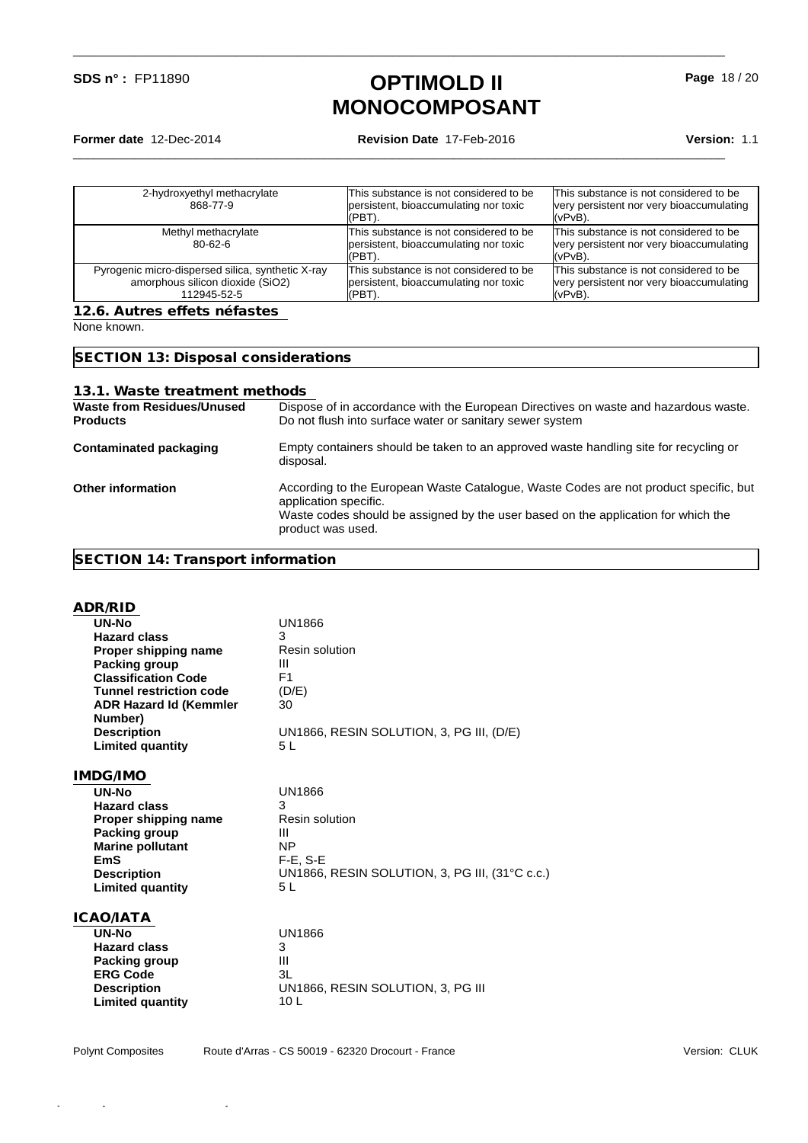\_\_\_\_\_\_\_\_\_\_\_\_\_\_\_\_\_\_\_\_\_\_\_\_\_\_\_\_\_\_\_\_\_\_\_\_\_\_\_\_\_\_\_\_\_\_\_\_\_\_\_\_\_\_\_\_\_\_\_\_\_\_\_\_\_\_\_\_\_\_\_\_\_\_\_\_\_\_\_\_\_\_\_\_\_\_\_\_\_\_\_\_\_\_\_\_

\_\_\_\_\_\_\_\_\_\_\_\_\_\_\_\_\_\_\_\_\_\_\_\_\_\_\_\_\_\_\_\_\_\_\_\_\_\_\_\_\_\_\_\_\_\_\_\_\_\_\_\_\_\_\_\_\_\_\_\_\_\_\_\_\_\_\_\_\_\_\_\_\_\_\_\_\_\_\_\_\_\_\_\_\_\_\_\_\_\_\_\_\_\_\_\_

**Former date** 12-Dec-2014 **Revision Date** 17-Feb-2016 **Version:** 1.1

| This substance is not considered to be<br>Methyl methacrylate<br>persistent, bioaccumulating nor toxic<br>$80 - 62 - 6$<br>(PBT).<br>(vPvB).                                                                 | 2-hydroxyethyl methacrylate<br>868-77-9 | This substance is not considered to be<br>persistent, bioaccumulating nor toxic<br>(PBT). | This substance is not considered to be<br>very persistent nor very bioaccumulating<br>l(vPvB). |
|--------------------------------------------------------------------------------------------------------------------------------------------------------------------------------------------------------------|-----------------------------------------|-------------------------------------------------------------------------------------------|------------------------------------------------------------------------------------------------|
|                                                                                                                                                                                                              |                                         |                                                                                           | This substance is not considered to be<br>very persistent nor very bioaccumulating             |
| This substance is not considered to be<br>Pyrogenic micro-dispersed silica, synthetic X-ray<br>amorphous silicon dioxide (SiO2)<br>persistent, bioaccumulating nor toxic<br>112945-52-5<br>(vPvB).<br>(PBT). |                                         |                                                                                           | This substance is not considered to be<br>very persistent nor very bioaccumulating             |

None known.

**SECTION 13: Disposal considerations**

| 13.1. Waste treatment methods |  |
|-------------------------------|--|
|-------------------------------|--|

| <b>Waste from Residues/Unused</b><br><b>Products</b> | Dispose of in accordance with the European Directives on waste and hazardous waste.<br>Do not flush into surface water or sanitary sewer system                                                                         |
|------------------------------------------------------|-------------------------------------------------------------------------------------------------------------------------------------------------------------------------------------------------------------------------|
| <b>Contaminated packaging</b>                        | Empty containers should be taken to an approved waste handling site for recycling or<br>disposal.                                                                                                                       |
| <b>Other information</b>                             | According to the European Waste Catalogue, Waste Codes are not product specific, but<br>application specific.<br>Waste codes should be assigned by the user based on the application for which the<br>product was used. |

### **SECTION 14: Transport information**

| ADR/RID                        |                                                |
|--------------------------------|------------------------------------------------|
| UN-No                          | UN1866                                         |
| <b>Hazard class</b>            | 3                                              |
| Proper shipping name           | <b>Resin solution</b>                          |
| <b>Packing group</b>           | Ш                                              |
| <b>Classification Code</b>     | F <sub>1</sub>                                 |
| <b>Tunnel restriction code</b> | (D/E)                                          |
| <b>ADR Hazard Id (Kemmler</b>  | 30                                             |
| Number)                        |                                                |
| <b>Description</b>             | UN1866, RESIN SOLUTION, 3, PG III, (D/E)       |
| <b>Limited quantity</b>        | 5L                                             |
|                                |                                                |
| IMDG/IMO                       |                                                |
| UN-No                          | UN1866                                         |
| <b>Hazard class</b>            | 3                                              |
| Proper shipping name           | <b>Resin solution</b>                          |
| <b>Packing group</b>           | Ш                                              |
| <b>Marine pollutant</b>        | <b>NP</b>                                      |
| <b>EmS</b>                     | $F-E$ , $S-E$                                  |
| <b>Description</b>             | UN1866, RESIN SOLUTION, 3, PG III, (31°C c.c.) |
| <b>Limited quantity</b>        | 5L                                             |
| ICAO/IATA                      |                                                |
| UN-No                          | <b>UN1866</b>                                  |
| <b>Hazard class</b>            | 3                                              |
| Packing group                  | Ш                                              |
| <b>ERG Code</b>                | 3L                                             |
| <b>Description</b>             | UN1866, RESIN SOLUTION, 3, PG III              |
| <b>Limited quantity</b>        | 10 L                                           |
|                                |                                                |

**Page** 18 / 20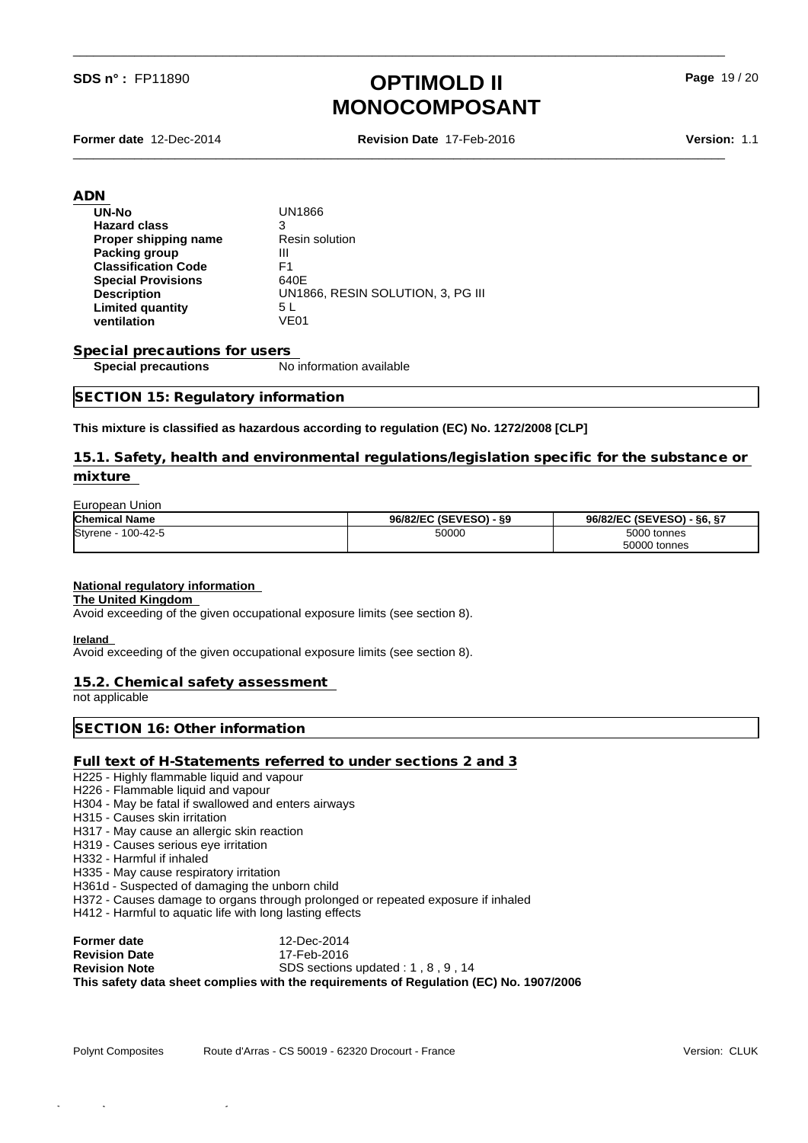\_\_\_\_\_\_\_\_\_\_\_\_\_\_\_\_\_\_\_\_\_\_\_\_\_\_\_\_\_\_\_\_\_\_\_\_\_\_\_\_\_\_\_\_\_\_\_\_\_\_\_\_\_\_\_\_\_\_\_\_\_\_\_\_\_\_\_\_\_\_\_\_\_\_\_\_\_\_\_\_\_\_\_\_\_\_\_\_\_\_\_\_\_\_\_\_

**Former date** 12-Dec-2014 **Revision Date** 17-Feb-2016 **Version:** 1.1

\_\_\_\_\_\_\_\_\_\_\_\_\_\_\_\_\_\_\_\_\_\_\_\_\_\_\_\_\_\_\_\_\_\_\_\_\_\_\_\_\_\_\_\_\_\_\_\_\_\_\_\_\_\_\_\_\_\_\_\_\_\_\_\_\_\_\_\_\_\_\_\_\_\_\_\_\_\_\_\_\_\_\_\_\_\_\_\_\_\_\_\_\_\_\_\_

**Page** 19 / 20

| <b>UN1866</b>                     |
|-----------------------------------|
| 3                                 |
| <b>Resin solution</b>             |
| Ш                                 |
| F1                                |
| 640E                              |
| UN1866, RESIN SOLUTION, 3, PG III |
| 5 L                               |
| VE01                              |
|                                   |

## **Special precautions for users<br>
<b>Special precautions**

**No information available** 

#### **SECTION 15: Regulatory information**

#### **This mixture is classified as hazardous according to regulation (EC) No. 1272/2008 [CLP]**

**15.1. Safety, health and environmental regulations/legislation specific for the substance or mixture** 

#### **European Union**<br>Chemical Name **Chemical Name 96/82/EC (SEVESO) - §9 96/82/EC (SEVESO) - §6, §7** Styrene - 100-42-5 50000 5000 tonnes 50000 tonnes

#### **National regulatory information**

#### **The United Kingdom**

Avoid exceeding of the given occupational exposure limits (see section 8).

**Ireland** 

Avoid exceeding of the given occupational exposure limits (see section 8).

#### **15.2. Chemical safety assessment**

not applicable

**SECTION 16: Other information**

#### **Full text of H-Statements referred to under sections 2 and 3**

H225 - Highly flammable liquid and vapour

- H226 Flammable liquid and vapour
- H304 May be fatal if swallowed and enters airways
- H315 Causes skin irritation
- H317 May cause an allergic skin reaction
- H319 Causes serious eye irritation
- H332 Harmful if inhaled
- H335 May cause respiratory irritation
- H361d Suspected of damaging the unborn child

H372 - Causes damage to organs through prolonged or repeated exposure if inhaled

H412 - Harmful to aquatic life with long lasting effects

| Former date          | 12-Dec-2014                                                                            |
|----------------------|----------------------------------------------------------------------------------------|
| <b>Revision Date</b> | 17-Feb-2016                                                                            |
| <b>Revision Note</b> | SDS sections updated : 1, 8, 9, 14                                                     |
|                      | This safety data sheet complies with the requirements of Requlation (EC) No. 1907/2006 |